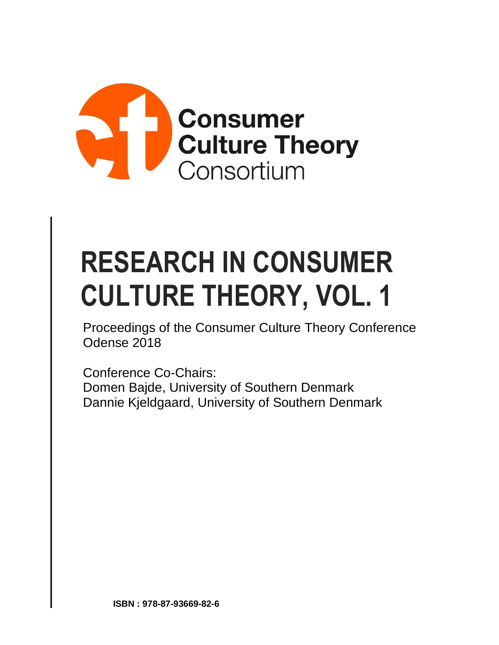

# **RESEARCH IN CONSUMER CULTURE THEORY, VOL. 1**

 $\overline{a}$ Proceedings of the Consumer Culture Theory Conference Odense 2018

Conference Co-Chairs:

Domen Bajde, University of Southern Denmark Dannie Kjeldgaard, University of Southern Denmark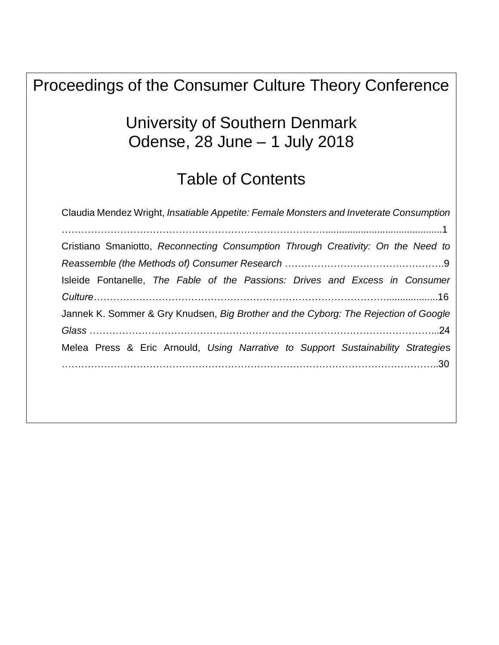Proceedings of the Consumer Culture Theory Conference University of Southern Denmark Odense, 28 June – 1 July 2018 Table of Contents Claudia Mendez Wright, *Insatiable Appetite: Female Monsters and Inveterate Consumption* ………………………………………………………………………...........................................1 Cristiano Smaniotto, *Reconnecting Consumption Through Creativity: On the Need to Reassemble (the Methods of) Consumer Research* ………………………………………….9 Isleide Fontanelle, *The Fable of the Passions: Drives and Excess in Consumer Culture……………*…………………………………………………………………...................16 Jannek K. Sommer & Gry Knudsen, *Big Brother and the Cyborg: The Rejection of Google Glass …………………………*…………………………………………………………………...24 Melea Press & Eric Arnould, *Using Narrative to Support Sustainability Strategie*s ……………………………………………………………………………………………………..30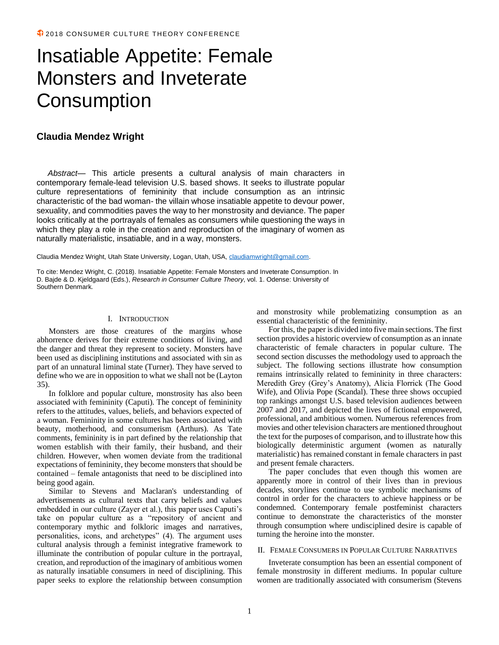# Insatiable Appetite: Female Monsters and Inveterate **Consumption**

### **Claudia Mendez Wright**

*Abstract*— This article presents a cultural analysis of main characters in contemporary female-lead television U.S. based shows. It seeks to illustrate popular culture representations of femininity that include consumption as an intrinsic characteristic of the bad woman- the villain whose insatiable appetite to devour power, sexuality, and commodities paves the way to her monstrosity and deviance. The paper looks critically at the portrayals of females as consumers while questioning the ways in which they play a role in the creation and reproduction of the imaginary of women as naturally materialistic, insatiable, and in a way, monsters.

Claudia Mendez Wright, Utah State University, Logan, Utah, USA, [claudiamwright@gmail.com.](mailto:claudiamwright@gmail.com)

To cite: Mendez Wright, C. (2018). Insatiable Appetite: Female Monsters and Inveterate Consumption. In D. Bajde & D. Kjeldgaard (Eds.), *Research in Consumer Culture Theory*, vol. 1. Odense: University of Southern Denmark.

#### I. INTRODUCTION

Monsters are those creatures of the margins whose abhorrence derives for their extreme conditions of living, and the danger and threat they represent to society. Monsters have been used as disciplining institutions and associated with sin as part of an unnatural liminal state (Turner). They have served to define who we are in opposition to what we shall not be (Layton 35).

In folklore and popular culture, monstrosity has also been associated with femininity (Caputi). The concept of femininity refers to the attitudes, values, beliefs, and behaviors expected of a woman. Femininity in some cultures has been associated with beauty, motherhood, and consumerism (Arthurs). As Tate comments, femininity is in part defined by the relationship that women establish with their family, their husband, and their children. However, when women deviate from the traditional expectations of femininity, they become monsters that should be contained – female antagonists that need to be disciplined into being good again.

Similar to Stevens and Maclaran's understanding of advertisements as cultural texts that carry beliefs and values embedded in our culture (Zayer et al.), this paper uses Caputi's take on popular culture as a "repository of ancient and contemporary mythic and folkloric images and narratives, personalities, icons, and archetypes" (4). The argument uses cultural analysis through a feminist integrative framework to illuminate the contribution of popular culture in the portrayal, creation, and reproduction of the imaginary of ambitious women as naturally insatiable consumers in need of disciplining. This paper seeks to explore the relationship between consumption

and monstrosity while problematizing consumption as an essential characteristic of the femininity.

For this, the paper is divided into five main sections. The first section provides a historic overview of consumption as an innate characteristic of female characters in popular culture. The second section discusses the methodology used to approach the subject. The following sections illustrate how consumption remains intrinsically related to femininity in three characters: Meredith Grey (Grey's Anatomy), Alicia Florrick (The Good Wife), and Olivia Pope (Scandal). These three shows occupied top rankings amongst U.S. based television audiences between 2007 and 2017, and depicted the lives of fictional empowered, professional, and ambitious women. Numerous references from movies and other television characters are mentioned throughout the text for the purposes of comparison, and to illustrate how this biologically deterministic argument (women as naturally materialistic) has remained constant in female characters in past and present female characters.

The paper concludes that even though this women are apparently more in control of their lives than in previous decades, storylines continue to use symbolic mechanisms of control in order for the characters to achieve happiness or be condemned. Contemporary female postfeminist characters continue to demonstrate the characteristics of the monster through consumption where undisciplined desire is capable of turning the heroine into the monster.

#### II. FEMALE CONSUMERS IN POPULAR CULTURE NARRATIVES

Inveterate consumption has been an essential component of female monstrosity in different mediums. In popular culture women are traditionally associated with consumerism (Stevens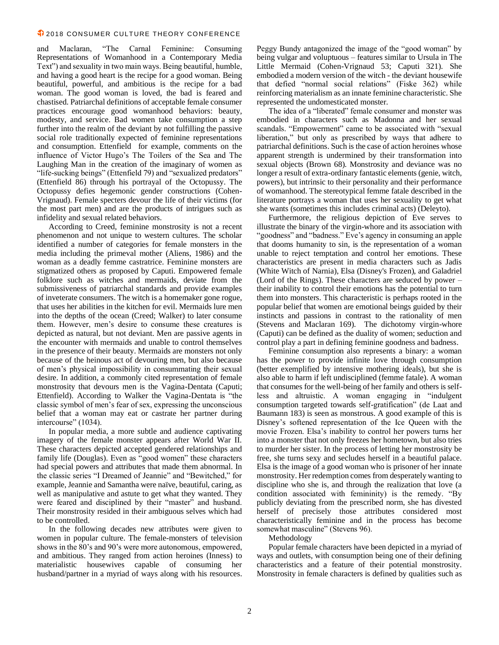and Maclaran, "The Carnal Feminine: Consuming Representations of Womanhood in a Contemporary Media Text") and sexuality in two main ways. Being beautiful, humble, and having a good heart is the recipe for a good woman. Being beautiful, powerful, and ambitious is the recipe for a bad woman. The good woman is loved, the bad is feared and chastised. Patriarchal definitions of acceptable female consumer practices encourage good womanhood behaviors: beauty, modesty, and service. Bad women take consumption a step further into the realm of the deviant by not fulfilling the passive social role traditionally expected of feminine representations and consumption. Ettenfield for example, comments on the influence of Victor Hugo's The Toilers of the Sea and The Laughing Man in the creation of the imaginary of women as "life-sucking beings" (Ettenfield 79) and "sexualized predators" (Ettenfield 86) through his portrayal of the Octopussy. The Octopussy defies hegemonic gender constructions (Cohen-Vrignaud). Female specters devour the life of their victims (for the most part men) and are the products of intrigues such as infidelity and sexual related behaviors.

According to Creed, feminine monstrosity is not a recent phenomenon and not unique to western cultures. The scholar identified a number of categories for female monsters in the media including the primeval mother (Aliens, 1986) and the woman as a deadly femme castratrice. Feminine monsters are stigmatized others as proposed by Caputi. Empowered female folklore such as witches and mermaids, deviate from the submissiveness of patriarchal standards and provide examples of inveterate consumers. The witch is a homemaker gone rogue, that uses her abilities in the kitchen for evil. Mermaids lure men into the depths of the ocean (Creed; Walker) to later consume them. However, men's desire to consume these creatures is depicted as natural, but not deviant. Men are passive agents in the encounter with mermaids and unable to control themselves in the presence of their beauty. Mermaids are monsters not only because of the heinous act of devouring men, but also because of men's physical impossibility in consummating their sexual desire. In addition, a commonly cited representation of female monstrosity that devours men is the Vagina-Dentata (Caputi; Ettenfield). According to Walker the Vagina-Dentata is "the classic symbol of men's fear of sex, expressing the unconscious belief that a woman may eat or castrate her partner during intercourse" (1034).

In popular media, a more subtle and audience captivating imagery of the female monster appears after World War II. These characters depicted accepted gendered relationships and family life (Douglas). Even as "good women" these characters had special powers and attributes that made them abnormal. In the classic series "I Dreamed of Jeannie" and "Bewitched," for example, Jeannie and Samantha were naïve, beautiful, caring, as well as manipulative and astute to get what they wanted. They were feared and disciplined by their "master" and husband. Their monstrosity resided in their ambiguous selves which had to be controlled.

In the following decades new attributes were given to women in popular culture. The female-monsters of television shows in the 80's and 90's were more autonomous, empowered, and ambitious. They ranged from action heroines (Inness) to materialistic housewives capable of consuming her husband/partner in a myriad of ways along with his resources.

Peggy Bundy antagonized the image of the "good woman" by being vulgar and voluptuous – features similar to Ursula in The Little Mermaid (Cohen-Vrignaud 53; Caputi 321). She embodied a modern version of the witch - the deviant housewife that defied "normal social relations" (Fiske 362) while reinforcing materialism as an innate feminine characteristic. She represented the undomesticated monster.

The idea of a "liberated" female consumer and monster was embodied in characters such as Madonna and her sexual scandals. "Empowerment" came to be associated with "sexual liberation," but only as prescribed by ways that adhere to patriarchal definitions. Such is the case of action heroines whose apparent strength is undermined by their transformation into sexual objects (Brown 68). Monstrosity and deviance was no longer a result of extra-ordinary fantastic elements (genie, witch, powers), but intrinsic to their personality and their performance of womanhood. The stereotypical femme fatale described in the literature portrays a woman that uses her sexuality to get what she wants (sometimes this includes criminal acts) (Deleyto).

Furthermore, the religious depiction of Eve serves to illustrate the binary of the virgin-whore and its association with "goodness" and "badness." Eve's agency in consuming an apple that dooms humanity to sin, is the representation of a woman unable to reject temptation and control her emotions. These characteristics are present in media characters such as Jadis (White Witch of Narnia), Elsa (Disney's Frozen), and Galadriel (Lord of the Rings). These characters are seduced by power – their inability to control their emotions has the potential to turn them into monsters. This characteristic is perhaps rooted in the popular belief that women are emotional beings guided by their instincts and passions in contrast to the rationality of men (Stevens and Maclaran 169). The dichotomy virgin-whore (Caputi) can be defined as the duality of women; seduction and control play a part in defining feminine goodness and badness.

Feminine consumption also represents a binary: a woman has the power to provide infinite love through consumption (better exemplified by intensive mothering ideals), but she is also able to harm if left undisciplined (femme fatale). A woman that consumes for the well-being of her family and others is selfless and altruistic. A woman engaging in "indulgent consumption targeted towards self-gratification" (de Laat and Baumann 183) is seen as monstrous. A good example of this is Disney's softened representation of the Ice Queen with the movie Frozen. Elsa's inability to control her powers turns her into a monster that not only freezes her hometown, but also tries to murder her sister. In the process of letting her monstrosity be free, she turns sexy and secludes herself in a beautiful palace. Elsa is the image of a good woman who is prisoner of her innate monstrosity. Her redemption comes from desperately wanting to discipline who she is, and through the realization that love (a condition associated with femininity) is the remedy. "By publicly deviating from the prescribed norm, she has divested herself of precisely those attributes considered most characteristically feminine and in the process has become somewhat masculine" (Stevens 96).

#### Methodology

Popular female characters have been depicted in a myriad of ways and outlets, with consumption being one of their defining characteristics and a feature of their potential monstrosity. Monstrosity in female characters is defined by qualities such as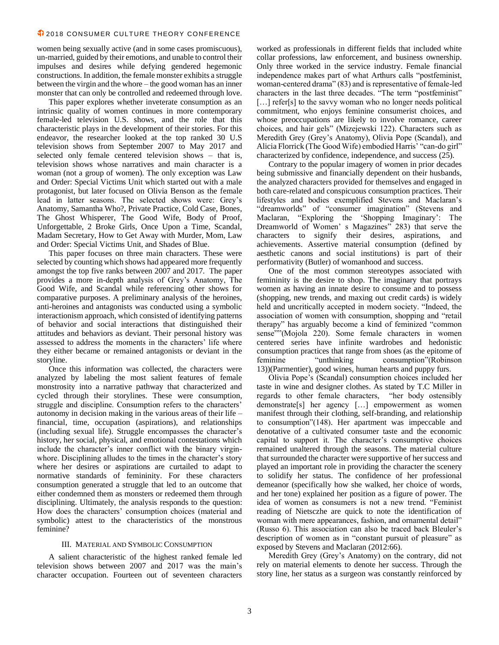women being sexually active (and in some cases promiscuous), un-married, guided by their emotions, and unable to control their impulses and desires while defying gendered hegemonic constructions. In addition, the female monster exhibits a struggle between the virgin and the whore – the good woman has an inner monster that can only be controlled and redeemed through love.

This paper explores whether inveterate consumption as an intrinsic quality of women continues in more contemporary female-led television U.S. shows, and the role that this characteristic plays in the development of their stories. For this endeavor, the researcher looked at the top ranked 30 U.S television shows from September 2007 to May 2017 and selected only female centered television shows – that is, television shows whose narratives and main character is a woman (not a group of women). The only exception was Law and Order: Special Victims Unit which started out with a male protagonist, but later focused on Olivia Benson as the female lead in latter seasons. The selected shows were: Grey's Anatomy, Samantha Who?, Private Practice, Cold Case, Bones, The Ghost Whisperer, The Good Wife, Body of Proof, Unforgettable, 2 Broke Girls, Once Upon a Time, Scandal, Madam Secretary, How to Get Away with Murder, Mom, Law and Order: Special Victims Unit, and Shades of Blue.

This paper focuses on three main characters. These were selected by counting which shows had appeared more frequently amongst the top five ranks between 2007 and 2017. The paper provides a more in-depth analysis of Grey's Anatomy, The Good Wife, and Scandal while referencing other shows for comparative purposes. A preliminary analysis of the heroines, anti-heroines and antagonists was conducted using a symbolic interactionism approach, which consisted of identifying patterns of behavior and social interactions that distinguished their attitudes and behaviors as deviant. Their personal history was assessed to address the moments in the characters' life where they either became or remained antagonists or deviant in the storyline.

Once this information was collected, the characters were analyzed by labeling the most salient features of female monstrosity into a narrative pathway that characterized and cycled through their storylines. These were consumption, struggle and discipline. Consumption refers to the characters' autonomy in decision making in the various areas of their life – financial, time, occupation (aspirations), and relationships (including sexual life). Struggle encompasses the character's history, her social, physical, and emotional contestations which include the character's inner conflict with the binary virginwhore. Disciplining alludes to the times in the character's story where her desires or aspirations are curtailed to adapt to normative standards of femininity. For these characters consumption generated a struggle that led to an outcome that either condemned them as monsters or redeemed them through disciplining. Ultimately, the analysis responds to the question: How does the characters' consumption choices (material and symbolic) attest to the characteristics of the monstrous feminine?

#### III. MATERIAL AND SYMBOLIC CONSUMPTION

A salient characteristic of the highest ranked female led television shows between 2007 and 2017 was the main's character occupation. Fourteen out of seventeen characters

worked as professionals in different fields that included white collar professions, law enforcement, and business ownership. Only three worked in the service industry. Female financial independence makes part of what Arthurs calls "postfeminist, woman-centered drama" (83) and is representative of female-led characters in the last three decades. "The term "postfeminist" [...] refer[s] to the savvy woman who no longer needs political commitment, who enjoys feminine consumerist choices, and whose preoccupations are likely to involve romance, career choices, and hair gels" (Mizejewski 122). Characters such as Meredith Grey (Grey's Anatomy), Olivia Pope (Scandal), and Alicia Florrick (The Good Wife) embodied Harris' "can-do girl" characterized by confidence, independence, and success (25).

Contrary to the popular imagery of women in prior decades being submissive and financially dependent on their husbands, the analyzed characters provided for themselves and engaged in both care-related and conspicuous consumption practices. Their lifestyles and bodies exemplified Stevens and Maclaran's "dreamworlds" of "consumer imagination" (Stevens and Maclaran, "Exploring the 'Shopping Imaginary': The Dreamworld of Women' s Magazines" 283) that serve the characters to signify their desires, aspirations, and achievements. Assertive material consumption (defined by aesthetic canons and social institutions) is part of their performativity (Butler) of womanhood and success.

One of the most common stereotypes associated with femininity is the desire to shop. The imaginary that portrays women as having an innate desire to consume and to possess (shopping, new trends, and maxing out credit cards) is widely held and uncritically accepted in modern society. "Indeed, the association of women with consumption, shopping and "retail therapy" has arguably become a kind of feminized "common sense""(Mojola 220). Some female characters in women centered series have infinite wardrobes and hedonistic consumption practices that range from shoes (as the epitome of feminine "unthinking" consumption" (Robinson feminine "unthinking consumption"(Robinson 13))(Parmentier), good wines, human hearts and puppy furs.

Olivia Pope's (Scandal) consumption choices included her taste in wine and designer clothes. As stated by T.C Miller in regards to other female characters, "her body ostensibly demonstrate[s] her agency […] empowerment as women manifest through their clothing, self-branding, and relationship to consumption"(148). Her apartment was impeccable and denotative of a cultivated consumer taste and the economic capital to support it. The character's consumptive choices remained unaltered through the seasons. The material culture that surrounded the character were supportive of her success and played an important role in providing the character the scenery to solidify her status. The confidence of her professional demeanor (specifically how she walked, her choice of words, and her tone) explained her position as a figure of power. The idea of women as consumers is not a new trend. "Feminist reading of Nietsczhe are quick to note the identification of woman with mere appearances, fashion, and ornamental detail" (Russo 6). This association can also be traced back Bleuler's description of women as in "constant pursuit of pleasure" as exposed by Stevens and Maclaran (2012:66).

Meredith Grey (Grey's Anatomy) on the contrary, did not rely on material elements to denote her success. Through the story line, her status as a surgeon was constantly reinforced by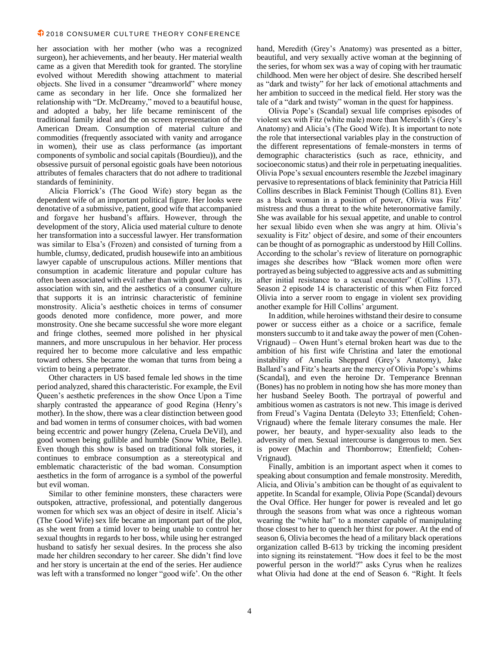her association with her mother (who was a recognized surgeon), her achievements, and her beauty. Her material wealth came as a given that Meredith took for granted. The storyline evolved without Meredith showing attachment to material objects. She lived in a consumer "dreamworld" where money came as secondary in her life. Once she formalized her relationship with "Dr. McDreamy," moved to a beautiful house, and adopted a baby, her life became reminiscent of the traditional family ideal and the on screen representation of the American Dream. Consumption of material culture and commodities (frequently associated with vanity and arrogance in women), their use as class performance (as important components of symbolic and social capitals (Bourdieu)), and the obsessive pursuit of personal egoistic goals have been notorious attributes of females characters that do not adhere to traditional standards of femininity.

Alicia Florrick's (The Good Wife) story began as the dependent wife of an important political figure. Her looks were denotative of a submissive, patient, good wife that accompanied and forgave her husband's affairs. However, through the development of the story, Alicia used material culture to denote her transformation into a successful lawyer. Her transformation was similar to Elsa's (Frozen) and consisted of turning from a humble, clumsy, dedicated, prudish housewife into an ambitious lawyer capable of unscrupulous actions. Miller mentions that consumption in academic literature and popular culture has often been associated with evil rather than with good. Vanity, its association with sin, and the aesthetics of a consumer culture that supports it is an intrinsic characteristic of feminine monstrosity. Alicia's aesthetic choices in terms of consumer goods denoted more confidence, more power, and more monstrosity. One she became successful she wore more elegant and fringe clothes, seemed more polished in her physical manners, and more unscrupulous in her behavior. Her process required her to become more calculative and less empathic toward others. She became the woman that turns from being a victim to being a perpetrator.

Other characters in US based female led shows in the time period analyzed, shared this characteristic. For example, the Evil Queen's aesthetic preferences in the show Once Upon a Time sharply contrasted the appearance of good Regina (Henry's mother). In the show, there was a clear distinction between good and bad women in terms of consumer choices, with bad women being eccentric and power hungry (Zelena, Cruela DeVil), and good women being gullible and humble (Snow White, Belle). Even though this show is based on traditional folk stories, it continues to embrace consumption as a stereotypical and emblematic characteristic of the bad woman. Consumption aesthetics in the form of arrogance is a symbol of the powerful but evil woman.

Similar to other feminine monsters, these characters were outspoken, attractive, professional, and potentially dangerous women for which sex was an object of desire in itself. Alicia's (The Good Wife) sex life became an important part of the plot, as she went from a timid lover to being unable to control her sexual thoughts in regards to her boss, while using her estranged husband to satisfy her sexual desires. In the process she also made her children secondary to her career. She didn't find love and her story is uncertain at the end of the series. Her audience was left with a transformed no longer "good wife'. On the other

hand, Meredith (Grey's Anatomy) was presented as a bitter, beautiful, and very sexually active woman at the beginning of the series, for whom sex was a way of coping with her traumatic childhood. Men were her object of desire. She described herself as "dark and twisty" for her lack of emotional attachments and her ambition to succeed in the medical field. Her story was the tale of a "dark and twisty" woman in the quest for happiness.

Olivia Pope's (Scandal) sexual life comprises episodes of violent sex with Fitz (white male) more than Meredith's (Grey's Anatomy) and Alicia's (The Good Wife). It is important to note the role that intersectional variables play in the construction of the different representations of female-monsters in terms of demographic characteristics (such as race, ethnicity, and socioeconomic status) and their role in perpetuating inequalities. Olivia Pope's sexual encounters resemble the Jezebel imaginary pervasive to representations of black femininity that Patricia Hill Collins describes in Black Feminist Though (Collins 81). Even as a black woman in a position of power, Olivia was Fitz' mistress and thus a threat to the white heteronormative family. She was available for his sexual appetite, and unable to control her sexual libido even when she was angry at him. Olivia's sexuality is Fitz' object of desire, and some of their encounters can be thought of as pornographic as understood by Hill Collins. According to the scholar's review of literature on pornographic images she describes how "Black women more often were portrayed as being subjected to aggressive acts and as submitting after initial resistance to a sexual encounter" (Collins 137). Season 2 episode 14 is characteristic of this when Fitz forced Olivia into a server room to engage in violent sex providing another example for Hill Collins' argument.

In addition, while heroines withstand their desire to consume power or success either as a choice or a sacrifice, female monsters succumb to it and take away the power of men (Cohen-Vrignaud) – Owen Hunt's eternal broken heart was due to the ambition of his first wife Christina and later the emotional instability of Amelia Sheppard (Grey's Anatomy), Jake Ballard's and Fitz's hearts are the mercy of Olivia Pope's whims (Scandal), and even the heroine Dr. Temperance Brennan (Bones) has no problem in noting how she has more money than her husband Seeley Booth. The portrayal of powerful and ambitious women as castrators is not new. This image is derived from Freud's Vagina Dentata (Deleyto 33; Ettenfield; Cohen-Vrignaud) where the female literary consumes the male. Her power, her beauty, and hyper-sexuality also leads to the adversity of men. Sexual intercourse is dangerous to men. Sex is power (Machin and Thornborrow; Ettenfield; Cohen-Vrignaud).

Finally, ambition is an important aspect when it comes to speaking about consumption and female monstrosity. Meredith, Alicia, and Olivia's ambition can be thought of as equivalent to appetite. In Scandal for example, Olivia Pope (Scandal) devours the Oval Office. Her hunger for power is revealed and let go through the seasons from what was once a righteous woman wearing the "white hat" to a monster capable of manipulating those closest to her to quench her thirst for power. At the end of season 6, Olivia becomes the head of a military black operations organization called B-613 by tricking the incoming president into signing its reinstatement. "How does it feel to be the most powerful person in the world?" asks Cyrus when he realizes what Olivia had done at the end of Season 6. "Right. It feels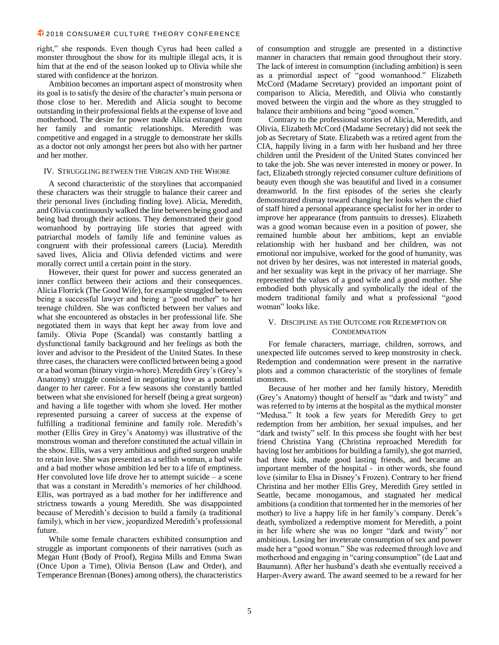right," she responds. Even though Cyrus had been called a monster throughout the show for its multiple illegal acts, it is him that at the end of the season looked up to Olivia while she stared with confidence at the horizon.

Ambition becomes an important aspect of monstrosity when its goal is to satisfy the desire of the character's main persona or those close to her. Meredith and Alicia sought to become outstanding in their professional fields at the expense of love and motherhood. The desire for power made Alicia estranged from her family and romantic relationships. Meredith was competitive and engaged in a struggle to demonstrate her skills as a doctor not only amongst her peers but also with her partner and her mother.

#### IV. STRUGGLING BETWEEN THE VIRGIN AND THE WHORE

A second characteristic of the storylines that accompanied these characters was their struggle to balance their career and their personal lives (including finding love). Alicia, Meredith, and Olivia continuously walked the line between being good and being bad through their actions. They demonstrated their good womanhood by portraying life stories that agreed with patriarchal models of family life and feminine values as congruent with their professional careers (Lucia). Meredith saved lives, Alicia and Olivia defended victims and were morally correct until a certain point in the story.

However, their quest for power and success generated an inner conflict between their actions and their consequences. Alicia Florrick (The Good Wife), for example struggled between being a successful lawyer and being a "good mother" to her teenage children. She was conflicted between her values and what she encountered as obstacles in her professional life. She negotiated them in ways that kept her away from love and family. Olivia Pope (Scandal) was constantly battling a dysfunctional family background and her feelings as both the lover and advisor to the President of the United States. In these three cases, the characters were conflicted between being a good or a bad woman (binary virgin-whore). Meredith Grey's (Grey's Anatomy) struggle consisted in negotiating love as a potential danger to her career. For a few seasons she constantly battled between what she envisioned for herself (being a great surgeon) and having a life together with whom she loved. Her mother represented pursuing a career of success at the expense of fulfilling a traditional feminine and family role. Meredith's mother (Ellis Grey in Grey's Anatomy) was illustrative of the monstrous woman and therefore constituted the actual villain in the show. Ellis, was a very ambitious and gifted surgeon unable to retain love. She was presented as a selfish woman, a bad wife and a bad mother whose ambition led her to a life of emptiness. Her convoluted love life drove her to attempt suicide – a scene that was a constant in Meredith's memories of her childhood. Ellis, was portrayed as a bad mother for her indifference and strictness towards a young Meredith. She was disappointed because of Meredith's decision to build a family (a traditional family), which in her view, jeopardized Meredith's professional future.

While some female characters exhibited consumption and struggle as important components of their narratives (such as Megan Hunt (Body of Proof), Regina Mills and Emma Swan (Once Upon a Time), Olivia Benson (Law and Order), and Temperance Brennan (Bones) among others), the characteristics

of consumption and struggle are presented in a distinctive manner in characters that remain good throughout their story. The lack of interest in consumption (including ambition) is seen as a primordial aspect of "good womanhood." Elizabeth McCord (Madame Secretary) provided an important point of comparison to Alicia, Meredith, and Olivia who constantly moved between the virgin and the whore as they struggled to balance their ambitions and being "good women."

Contrary to the professional stories of Alicia, Meredith, and Olivia, Elizabeth McCord (Madame Secretary) did not seek the job as Secretary of State. Elizabeth was a retired agent from the CIA, happily living in a farm with her husband and her three children until the President of the United States convinced her to take the job. She was never interested in money or power. In fact, Elizabeth strongly rejected consumer culture definitions of beauty even though she was beautiful and lived in a consumer dreamworld. In the first episodes of the series she clearly demonstrated dismay toward changing her looks when the chief of staff hired a personal appearance specialist for her in order to improve her appearance (from pantsuits to dresses). Elizabeth was a good woman because even in a position of power, she remained humble about her ambitions, kept an enviable relationship with her husband and her children, was not emotional nor impulsive, worked for the good of humanity, was not driven by her desires, was not interested in material goods, and her sexuality was kept in the privacy of her marriage. She represented the values of a good wife and a good mother. She embodied both physically and symbolically the ideal of the modern traditional family and what a professional "good woman" looks like.

#### V. DISCIPLINE AS THE OUTCOME FOR REDEMPTION OR **CONDEMNATION**

For female characters, marriage, children, sorrows, and unexpected life outcomes served to keep monstrosity in check. Redemption and condemnation were present in the narrative plots and a common characteristic of the storylines of female monsters.

Because of her mother and her family history, Meredith (Grey's Anatomy) thought of herself as "dark and twisty" and was referred to by interns at the hospital as the mythical monster "Medusa." It took a few years for Meredith Grey to get redemption from her ambition, her sexual impulses, and her "dark and twisty" self. In this process she fought with her best friend Christina Yang (Christina reproached Meredith for having lost her ambitions for building a family), she got married, had three kids, made good lasting friends, and became an important member of the hospital - in other words, she found love (similar to Elsa in Disney's Frozen). Contrary to her friend Christina and her mother Ellis Grey, Meredith Grey settled in Seattle, became monogamous, and stagnated her medical ambitions (a condition that tormented her in the memories of her mother) to live a happy life in her family's company. Derek's death, symbolized a redemptive moment for Meredith, a point in her life where she was no longer "dark and twisty" nor ambitious. Losing her inveterate consumption of sex and power made her a "good woman." She was redeemed through love and motherhood and engaging in "caring consumption" (de Laat and Baumann). After her husband's death she eventually received a Harper-Avery award. The award seemed to be a reward for her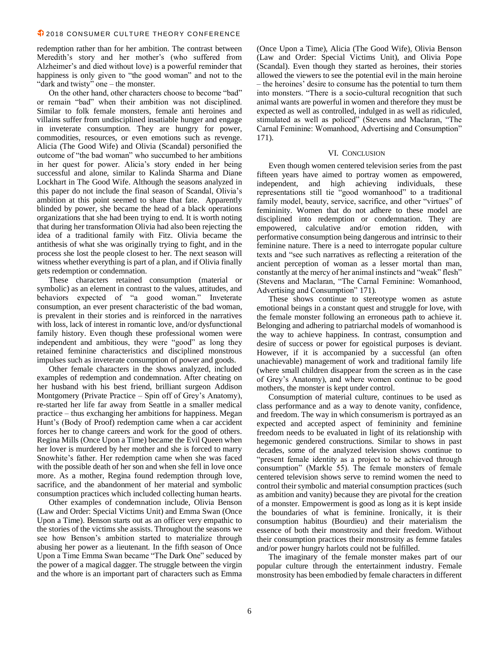redemption rather than for her ambition. The contrast between Meredith's story and her mother's (who suffered from Alzheimer's and died without love) is a powerful reminder that happiness is only given to "the good woman" and not to the "dark and twisty" one – the monster.

On the other hand, other characters choose to become "bad" or remain "bad" when their ambition was not disciplined. Similar to folk female monsters, female anti heroines and villains suffer from undisciplined insatiable hunger and engage in inveterate consumption. They are hungry for power, commodities, resources, or even emotions such as revenge. Alicia (The Good Wife) and Olivia (Scandal) personified the outcome of "the bad woman" who succumbed to her ambitions in her quest for power. Alicia's story ended in her being successful and alone, similar to Kalinda Sharma and Diane Lockhart in The Good Wife. Although the seasons analyzed in this paper do not include the final season of Scandal, Olivia's ambition at this point seemed to share that fate. Apparently blinded by power, she became the head of a black operations organizations that she had been trying to end. It is worth noting that during her transformation Olivia had also been rejecting the idea of a traditional family with Fitz. Olivia became the antithesis of what she was originally trying to fight, and in the process she lost the people closest to her. The next season will witness whether everything is part of a plan, and if Olivia finally gets redemption or condemnation.

These characters retained consumption (material or symbolic) as an element in contrast to the values, attitudes, and behaviors expected of "a good woman." Inveterate consumption, an ever present characteristic of the bad woman, is prevalent in their stories and is reinforced in the narratives with loss, lack of interest in romantic love, and/or dysfunctional family history. Even though these professional women were independent and ambitious, they were "good" as long they retained feminine characteristics and disciplined monstrous impulses such as inveterate consumption of power and goods.

Other female characters in the shows analyzed, included examples of redemption and condemnation. After cheating on her husband with his best friend, brilliant surgeon Addison Montgomery (Private Practice – Spin off of Grey's Anatomy), re-started her life far away from Seattle in a smaller medical practice – thus exchanging her ambitions for happiness. Megan Hunt's (Body of Proof) redemption came when a car accident forces her to change careers and work for the good of others. Regina Mills (Once Upon a Time) became the Evil Queen when her lover is murdered by her mother and she is forced to marry Snowhite's father. Her redemption came when she was faced with the possible death of her son and when she fell in love once more. As a mother, Regina found redemption through love, sacrifice, and the abandonment of her material and symbolic consumption practices which included collecting human hearts.

Other examples of condemnation include, Olivia Benson (Law and Order: Special Victims Unit) and Emma Swan (Once Upon a Time). Benson starts out as an officer very empathic to the stories of the victims she assists. Throughout the seasons we see how Benson's ambition started to materialize through abusing her power as a lieutenant. In the fifth season of Once Upon a Time Emma Swan became "The Dark One" seduced by the power of a magical dagger. The struggle between the virgin and the whore is an important part of characters such as Emma

(Once Upon a Time), Alicia (The Good Wife), Olivia Benson (Law and Order: Special Victims Unit), and Olivia Pope (Scandal). Even though they started as heroines, their stories allowed the viewers to see the potential evil in the main heroine – the heroines' desire to consume has the potential to turn them into monsters. "There is a socio-cultural recognition that such animal wants are powerful in women and therefore they must be expected as well as controlled, indulged in as well as ridiculed, stimulated as well as policed" (Stevens and Maclaran, "The Carnal Feminine: Womanhood, Advertising and Consumption" 171).

#### VI. CONCLUSION

Even though women centered television series from the past fifteen years have aimed to portray women as empowered, independent, and high achieving individuals, these representations still tie "good womanhood" to a traditional family model, beauty, service, sacrifice, and other "virtues" of femininity. Women that do not adhere to these model are disciplined into redemption or condemnation. They are empowered, calculative and/or emotion ridden, with performative consumption being dangerous and intrinsic to their feminine nature. There is a need to interrogate popular culture texts and "see such narratives as reflecting a reiteration of the ancient perception of woman as a lesser mortal than man, constantly at the mercy of her animal instincts and "weak" flesh" (Stevens and Maclaran, "The Carnal Feminine: Womanhood, Advertising and Consumption" 171).

These shows continue to stereotype women as astute emotional beings in a constant quest and struggle for love, with the female monster following an erroneous path to achieve it. Belonging and adhering to patriarchal models of womanhood is the way to achieve happiness. In contrast, consumption and desire of success or power for egoistical purposes is deviant. However, if it is accompanied by a successful (an often unachievable) management of work and traditional family life (where small children disappear from the screen as in the case of Grey's Anatomy), and where women continue to be good mothers, the monster is kept under control.

Consumption of material culture, continues to be used as class performance and as a way to denote vanity, confidence, and freedom. The way in which consumerism is portrayed as an expected and accepted aspect of femininity and feminine freedom needs to be evaluated in light of its relationship with hegemonic gendered constructions. Similar to shows in past decades, some of the analyzed television shows continue to "present female identity as a project to be achieved through consumption" (Markle 55). The female monsters of female centered television shows serve to remind women the need to control their symbolic and material consumption practices (such as ambition and vanity) because they are pivotal for the creation of a monster. Empowerment is good as long as it is kept inside the boundaries of what is feminine. Ironically, it is their consumption habitus (Bourdieu) and their materialism the essence of both their monstrosity and their freedom. Without their consumption practices their monstrosity as femme fatales and/or power hungry harlots could not be fulfilled.

The imaginary of the female monster makes part of our popular culture through the entertainment industry. Female monstrosity has been embodied by female characters in different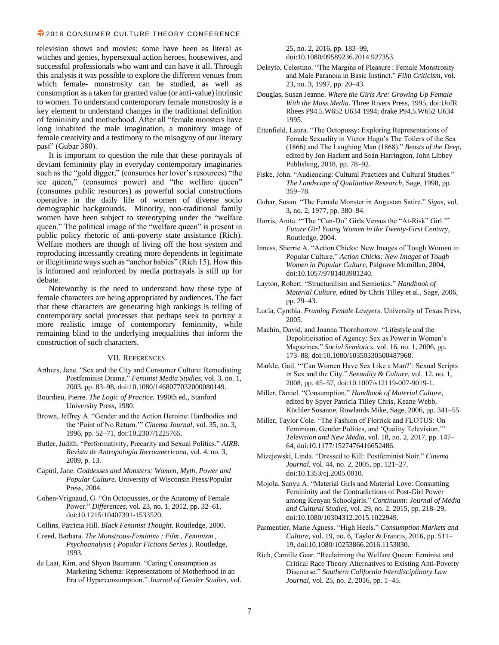television shows and movies: some have been as literal as witches and genies, hypersexual action heroes, housewives, and successful professionals who want and can have it all. Through this analysis it was possible to explore the different venues from which female- monstrosity can be studied, as well as consumption as a taken for granted value (or anti-value) intrinsic to women. To understand contemporary female monstrosity is a key element to understand changes in the traditional definition of femininity and motherhood. After all "female monsters have long inhabited the male imagination, a monitory image of female creativity and a testimony to the misogyny of our literary past" (Gubar 380).

It is important to question the role that these portrayals of deviant femininity play in everyday contemporary imaginaries such as the "gold digger," (consumes her lover's resources) "the ice queen," (consumes power) and "the welfare queen" (consumes public resources) as powerful social constructions operative in the daily life of women of diverse socio demographic backgrounds. Minority, non-traditional family women have been subject to stereotyping under the "welfare queen." The political image of the "welfare queen" is present in public policy rhetoric of anti-poverty state assistance (Rich). Welfare mothers are though of living off the host system and reproducing incessantly creating more dependents in legitimate or illegitimate ways such as "anchor babies" (Rich 15). How this is informed and reinforced by media portrayals is still up for debate.

Noteworthy is the need to understand how these type of female characters are being appropriated by audiences. The fact that these characters are generating high rankings is telling of contemporary social processes that perhaps seek to portray a more realistic image of contemporary femininity, while remaining blind to the underlying inequalities that inform the construction of such characters.

#### VII. REFERENCES

- Arthurs, Jane. "Sex and the City and Consumer Culture: Remediating Postfeminist Drama." *Feminist Media Studies*, vol. 3, no. 1, 2003, pp. 83–98, doi:10.1080/1468077032000080149.
- Bourdieu, Pierre. *The Logic of Practice*. 1990th ed., Stanford University Press, 1980.
- Brown, Jeffrey A. "Gender and the Action Heroine: Hardbodies and the 'Point of No Return.'" *Cinema Journal*, vol. 35, no. 3, 1996, pp. 52–71, doi:10.2307/1225765.
- Butler, Judith. "Performativity, Precarity and Sexual Politics." *AIRB. Revista de Antropologia Iberoamericana*, vol. 4, no. 3, 2009, p. 13.
- Caputi, Jane. *Goddesses and Monsters: Women, Myth, Power and Popular Culture*. University of Wisconsin Press/Popular Press, 2004.
- Cohen-Vrignaud, G. "On Octopussies, or the Anatomy of Female Power." *Differences*, vol. 23, no. 1, 2012, pp. 32–61, doi:10.1215/10407391-1533520.
- Collins, Patricia Hill. *Black Feminist Thought*. Routledge, 2000.
- Creed, Barbara. *The Monstrous-Feminine : Film , Feminism , Psychoanalysis ( Popular Fictions Series )*. Routledge, 1993.
- de Laat, Kim, and Shyon Baumann. "Caring Consumption as Marketing Schema: Representations of Motherhood in an Era of Hyperconsumption." *Journal of Gender Studies*, vol.

25, no. 2, 2016, pp. 183–99, doi:10.1080/09589236.2014.927353.

- Deleyto, Celestino. "The Margins of Pleasure : Female Monstrosity and Male Paranoia in Basic Instinct." *Film Criticism*, vol. 23, no. 3, 1997, pp. 20–43.
- Douglas, Susan Jeanne. *Where the Girls Are: Growing Up Female With the Mass Media*. Three Rivers Press, 1995, doi:UofR Rhees P94.5.W652 U634 1994; drake P94.5.W652 U634 1995.
- Ettenfield, Laura. "The Octopussy: Exploring Representations of Female Sexuality in Victor Hugo's The Toilers of the Sea (1866) and The Laughing Man (1868)." *Beasts of the Deep*, edited by Jon Hackett and Seán Harrington, John Libbey Publishing, 2018, pp. 78–92.
- Fiske, John. "Audiencing: Cultural Practices and Cultural Studies." *The Landscape of Qualitative Research*, Sage, 1998, pp. 359–78.
- Gubar, Susan. "The Female Monster in Augustan Satire." *Signs*, vol. 3, no. 2, 1977, pp. 380–94.
- Harris, Anita. "'The "Can-Do" Girls Versus the "At-Risk" Girl.'" *Future Girl Young Women in the Twenty-First Century*, Routledge, 2004.
- Inness, Sherrie A. "Action Chicks: New Images of Tough Women in Popular Culture." *Action Chicks: New Images of Tough Women in Popular Culture*, Palgrave Mcmillan, 2004, doi:10.1057/9781403981240.
- Layton, Robert. "Structuralism and Semiotics." *Handbook of Material Culture*, edited by Chris Tilley et al., Sage, 2006, pp. 29–43.
- Lucia, Cynthia. *Framing Female Lawyers*. University of Texas Press, 2005.
- Machin, David, and Joanna Thornborrow. "Lifestyle and the Depoliticisation of Agency: Sex as Power in Women's Magazines." *Social Semiotics*, vol. 16, no. 1, 2006, pp. 173–88, doi:10.1080/10350330500487968.
- Markle, Gail. "'Can Women Have Sex Like a Man?': Sexual Scripts in Sex and the City." *Sexuality & Culture*, vol. 12, no. 1, 2008, pp. 45–57, doi:10.1007/s12119-007-9019-1.
- Miller, Daniel. "Consumption." *Handbook of Material Culture*, edited by Spyer Patricia Tilley Chris, Keane Webb, Küchler Susanne, Rowlands Mike, Sage, 2006, pp. 341–55.
- Miller, Taylor Cole. "The Fashion of Florrick and FLOTUS: On Feminism, Gender Politics, and 'Quality Television.'" *Television and New Media*, vol. 18, no. 2, 2017, pp. 147– 64, doi:10.1177/1527476416652486.
- Mizejewski, Linda. "Dressed to Kill: Postfeminist Noir." *Cinema Journal*, vol. 44, no. 2, 2005, pp. 121–27, doi:10.1353/cj.2005.0010.
- Mojola, Sanyu A. "Material Girls and Material Love: Consuming Femininity and the Contradictions of Post-Girl Power among Kenyan Schoolgirls." *Continuum: Journal of Media and Cultural Studies*, vol. 29, no. 2, 2015, pp. 218–29, doi:10.1080/10304312.2015.1022949.
- Parmentier, Marie Agness. "High Heels." *Consumption Markets and Culture*, vol. 19, no. 6, Taylor & Francis, 2016, pp. 511– 19, doi:10.1080/10253866.2016.1153830.
- Rich, Camille Gear. "Reclaiming the Welfare Queen: Feminist and Critical Race Theory Alternatives to Existing Anti-Poverty Discourse." *Southern California Interdisciplinary Law Journal*, vol. 25, no. 2, 2016, pp. 1–45.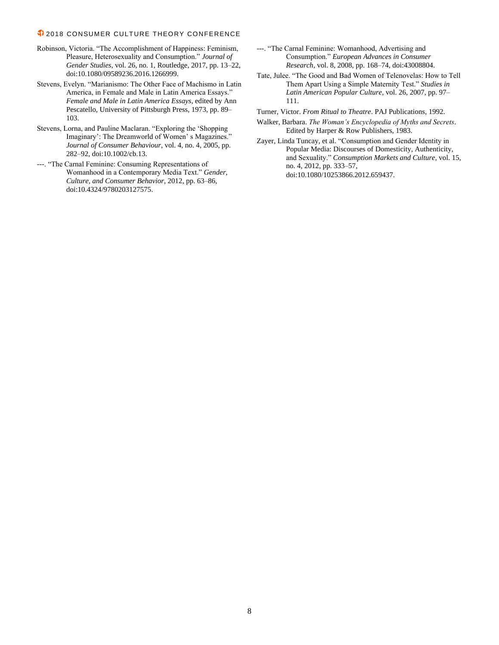- Robinson, Victoria. "The Accomplishment of Happiness: Feminism, Pleasure, Heterosexuality and Consumption." *Journal of Gender Studies*, vol. 26, no. 1, Routledge, 2017, pp. 13–22, doi:10.1080/09589236.2016.1266999.
- Stevens, Evelyn. "Marianismo: The Other Face of Machismo in Latin America, in Female and Male in Latin America Essays." *Female and Male in Latin America Essays*, edited by Ann Pescatello, University of Pittsburgh Press, 1973, pp. 89– 103.
- Stevens, Lorna, and Pauline Maclaran. "Exploring the 'Shopping Imaginary': The Dreamworld of Women' s Magazines." *Journal of Consumer Behaviour*, vol. 4, no. 4, 2005, pp. 282–92, doi:10.1002/cb.13.
- ---. "The Carnal Feminine: Consuming Representations of Womanhood in a Contemporary Media Text." *Gender, Culture, and Consumer Behavior*, 2012, pp. 63–86, doi:10.4324/9780203127575.
- ---. "The Carnal Feminine: Womanhood, Advertising and Consumption." *European Advances in Consumer Research*, vol. 8, 2008, pp. 168–74, doi:43008804.
- Tate, Julee. "The Good and Bad Women of Telenovelas: How to Tell Them Apart Using a Simple Maternity Test." *Studies in Latin American Popular Culture*, vol. 26, 2007, pp. 97– 111.
- Turner, Victor. *From Ritual to Theatre*. PAJ Publications, 1992.
- Walker, Barbara. *The Woman's Encyclopedia of Myths and Secrets*. Edited by Harper & Row Publishers, 1983.
- Zayer, Linda Tuncay, et al. "Consumption and Gender Identity in Popular Media: Discourses of Domesticity, Authenticity, and Sexuality." *Consumption Markets and Culture*, vol. 15, no. 4, 2012, pp. 333–57, doi:10.1080/10253866.2012.659437.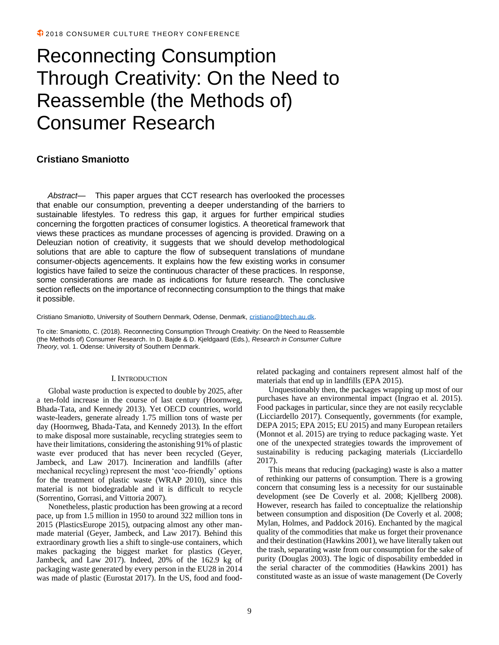# Reconnecting Consumption Through Creativity: On the Need to Reassemble (the Methods of) Consumer Research

### **Cristiano Smaniotto**

*Abstract*— This paper argues that CCT research has overlooked the processes that enable our consumption, preventing a deeper understanding of the barriers to sustainable lifestyles. To redress this gap, it argues for further empirical studies concerning the forgotten practices of consumer logistics. A theoretical framework that views these practices as mundane processes of agencing is provided. Drawing on a Deleuzian notion of creativity, it suggests that we should develop methodological solutions that are able to capture the flow of subsequent translations of mundane consumer-objects agencements. It explains how the few existing works in consumer logistics have failed to seize the continuous character of these practices. In response, some considerations are made as indications for future research. The conclusive section reflects on the importance of reconnecting consumption to the things that make it possible.

Cristiano Smaniotto, University of Southern Denmark, Odense, Denmark, [cristiano@btech.au.dk.](mailto:cristiano@btech.au.dk)

To cite: Smaniotto, C. (2018). Reconnecting Consumption Through Creativity: On the Need to Reassemble (the Methods of) Consumer Research. In D. Bajde & D. Kjeldgaard (Eds.), *Research in Consumer Culture Theory*, vol. 1. Odense: University of Southern Denmark.

#### I. INTRODUCTION

Global waste production is expected to double by 2025, after a ten-fold increase in the course of last century (Hoornweg, Bhada-Tata, and Kennedy 2013). Yet OECD countries, world waste-leaders, generate already 1.75 million tons of waste per day (Hoornweg, Bhada-Tata, and Kennedy 2013). In the effort to make disposal more sustainable, recycling strategies seem to have their limitations, considering the astonishing 91% of plastic waste ever produced that has never been recycled (Geyer, Jambeck, and Law 2017). Incineration and landfills (after mechanical recycling) represent the most 'eco-friendly' options for the treatment of plastic waste (WRAP 2010), since this material is not biodegradable and it is difficult to recycle (Sorrentino, Gorrasi, and Vittoria 2007).

Nonetheless, plastic production has been growing at a record pace, up from 1.5 million in 1950 to around 322 million tons in 2015 (PlasticsEurope 2015), outpacing almost any other manmade material (Geyer, Jambeck, and Law 2017). Behind this extraordinary growth lies a shift to single-use containers, which makes packaging the biggest market for plastics (Geyer, Jambeck, and Law 2017). Indeed, 20% of the 162.9 kg of packaging waste generated by every person in the EU28 in 2014 was made of plastic (Eurostat 2017). In the US, food and foodrelated packaging and containers represent almost half of the materials that end up in landfills (EPA 2015).

Unquestionably then, the packages wrapping up most of our purchases have an environmental impact (Ingrao et al. 2015). Food packages in particular, since they are not easily recyclable (Licciardello 2017). Consequently, governments (for example, DEPA 2015; EPA 2015; EU 2015) and many European retailers (Monnot et al. 2015) are trying to reduce packaging waste. Yet one of the unexpected strategies towards the improvement of sustainability is reducing packaging materials (Licciardello 2017).

This means that reducing (packaging) waste is also a matter of rethinking our patterns of consumption. There is a growing concern that consuming less is a necessity for our sustainable development (see De Coverly et al. 2008; Kjellberg 2008). However, research has failed to conceptualize the relationship between consumption and disposition (De Coverly et al. 2008; Mylan, Holmes, and Paddock 2016). Enchanted by the magical quality of the commodities that make us forget their provenance and their destination (Hawkins 2001), we have literally taken out the trash, separating waste from our consumption for the sake of purity (Douglas 2003). The logic of disposability embedded in the serial character of the commodities (Hawkins 2001) has constituted waste as an issue of waste management (De Coverly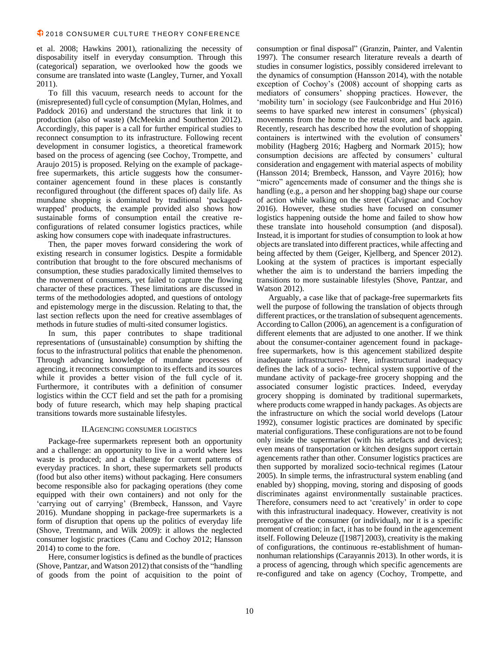et al. 2008; Hawkins 2001), rationalizing the necessity of disposability itself in everyday consumption. Through this (categorical) separation, we overlooked how the goods we consume are translated into waste (Langley, Turner, and Yoxall 2011).

To fill this vacuum, research needs to account for the (misrepresented) full cycle of consumption (Mylan, Holmes, and Paddock 2016) and understand the structures that link it to production (also of waste) (McMeekin and Southerton 2012). Accordingly, this paper is a call for further empirical studies to reconnect consumption to its infrastructure. Following recent development in consumer logistics, a theoretical framework based on the process of agencing (see Cochoy, Trompette, and Araujo 2015) is proposed. Relying on the example of packagefree supermarkets, this article suggests how the consumercontainer agencement found in these places is constantly reconfigured throughout (the different spaces of) daily life. As mundane shopping is dominated by traditional 'packagedwrapped' products, the example provided also shows how sustainable forms of consumption entail the creative reconfigurations of related consumer logistics practices, while asking how consumers cope with inadequate infrastructures.

Then, the paper moves forward considering the work of existing research in consumer logistics. Despite a formidable contribution that brought to the fore obscured mechanisms of consumption, these studies paradoxically limited themselves to the movement of consumers, yet failed to capture the flowing character of these practices. These limitations are discussed in terms of the methodologies adopted, and questions of ontology and epistemology merge in the discussion. Relating to that, the last section reflects upon the need for creative assemblages of methods in future studies of multi-sited consumer logistics.

In sum, this paper contributes to shape traditional representations of (unsustainable) consumption by shifting the focus to the infrastructural politics that enable the phenomenon. Through advancing knowledge of mundane processes of agencing, it reconnects consumption to its effects and its sources while it provides a better vision of the full cycle of it. Furthermore, it contributes with a definition of consumer logistics within the CCT field and set the path for a promising body of future research, which may help shaping practical transitions towards more sustainable lifestyles.

#### II.AGENCING CONSUMER LOGISTICS

Package-free supermarkets represent both an opportunity and a challenge: an opportunity to live in a world where less waste is produced; and a challenge for current patterns of everyday practices. In short, these supermarkets sell products (food but also other items) without packaging. Here consumers become responsible also for packaging operations (they come equipped with their own containers) and not only for the 'carrying out of carrying' (Brembeck, Hansson, and Vayre 2016). Mundane shopping in package-free supermarkets is a form of disruption that opens up the politics of everyday life (Shove, Trentmann, and Wilk 2009): it allows the neglected consumer logistic practices (Canu and Cochoy 2012; Hansson 2014) to come to the fore.

Here, consumer logistics is defined as the bundle of practices (Shove, Pantzar, and Watson 2012) that consists of the "handling of goods from the point of acquisition to the point of

consumption or final disposal" (Granzin, Painter, and Valentin 1997). The consumer research literature reveals a dearth of studies in consumer logistics, possibly considered irrelevant to the dynamics of consumption (Hansson 2014), with the notable exception of Cochoy's (2008) account of shopping carts as mediators of consumers' shopping practices. However, the 'mobility turn' in sociology (see Faulconbridge and Hui 2016) seems to have sparked new interest in consumers' (physical) movements from the home to the retail store, and back again. Recently, research has described how the evolution of shopping containers is intertwined with the evolution of consumers' mobility (Hagberg 2016; Hagberg and Normark 2015); how consumption decisions are affected by consumers' cultural consideration and engagement with material aspects of mobility (Hansson 2014; Brembeck, Hansson, and Vayre 2016); how "micro" agencements made of consumer and the things she is handling (e.g., a person and her shopping bag) shape our course of action while walking on the street (Calvignac and Cochoy 2016). However, these studies have focused on consumer logistics happening outside the home and failed to show how these translate into household consumption (and disposal). Instead, it is important for studies of consumption to look at how objects are translated into different practices, while affecting and being affected by them (Geiger, Kjellberg, and Spencer 2012). Looking at the system of practices is important especially whether the aim is to understand the barriers impeding the transitions to more sustainable lifestyles (Shove, Pantzar, and Watson 2012).

Arguably, a case like that of package-free supermarkets fits well the purpose of following the translation of objects through different practices, or the translation of subsequent agencements. According to Callon (2006), an agencement is a configuration of different elements that are adjusted to one another. If we think about the consumer-container agencement found in packagefree supermarkets, how is this agencement stabilized despite inadequate infrastructures? Here, infrastructural inadequacy defines the lack of a socio- technical system supportive of the mundane activity of package-free grocery shopping and the associated consumer logistic practices. Indeed, everyday grocery shopping is dominated by traditional supermarkets, where products come wrapped in handy packages. As objects are the infrastructure on which the social world develops (Latour 1992), consumer logistic practices are dominated by specific material configurations. These configurations are not to be found only inside the supermarket (with his artefacts and devices); even means of transportation or kitchen designs support certain agencements rather than other. Consumer logistics practices are then supported by moralized socio-technical regimes (Latour 2005). In simple terms, the infrastructural system enabling (and enabled by) shopping, moving, storing and disposing of goods discriminates against environmentally sustainable practices. Therefore, consumers need to act 'creatively' in order to cope with this infrastructural inadequacy. However, creativity is not prerogative of the consumer (or individual), nor it is a specific moment of creation; in fact, it has to be found in the agencement itself. Following Deleuze ([1987] 2003), creativity is the making of configurations, the continuous re-establishment of humannonhuman relationships (Carayannis 2013). In other words, it is a process of agencing, through which specific agencements are re-configured and take on agency (Cochoy, Trompette, and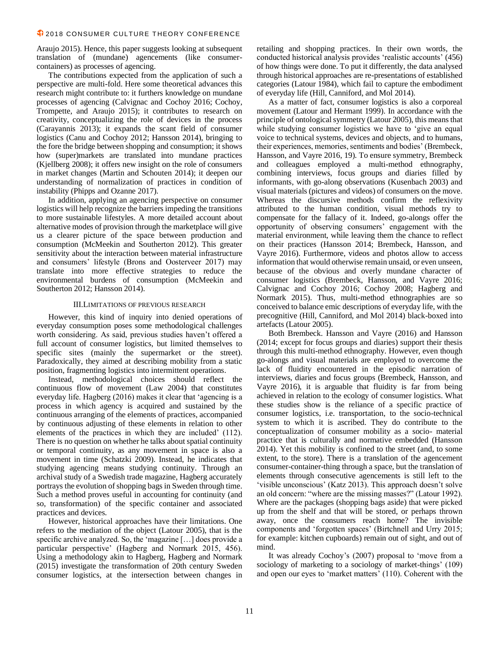Araujo 2015). Hence, this paper suggests looking at subsequent translation of (mundane) agencements (like consumercontainers) as processes of agencing.

The contributions expected from the application of such a perspective are multi-fold. Here some theoretical advances this research might contribute to: it furthers knowledge on mundane processes of agencing (Calvignac and Cochoy 2016; Cochoy, Trompette, and Araujo 2015); it contributes to research on creativity, conceptualizing the role of devices in the process (Carayannis 2013); it expands the scant field of consumer logistics (Canu and Cochoy 2012; Hansson 2014), bringing to the fore the bridge between shopping and consumption; it shows how (super)markets are translated into mundane practices (Kjellberg 2008); it offers new insight on the role of consumers in market changes (Martin and Schouten 2014); it deepen our understanding of normalization of practices in condition of instability (Phipps and Ozanne 2017).

In addition, applying an agencing perspective on consumer logistics will help recognize the barriers impeding the transitions to more sustainable lifestyles. A more detailed account about alternative modes of provision through the marketplace will give us a clearer picture of the space between production and consumption (McMeekin and Southerton 2012). This greater sensitivity about the interaction between material infrastructure and consumers' lifestyle (Brons and Oosterveer 2017) may translate into more effective strategies to reduce the environmental burdens of consumption (McMeekin and Southerton 2012; Hansson 2014).

#### III.LIMITATIONS OF PREVIOUS RESEARCH

However, this kind of inquiry into denied operations of everyday consumption poses some methodological challenges worth considering. As said, previous studies haven't offered a full account of consumer logistics, but limited themselves to specific sites (mainly the supermarket or the street). Paradoxically, they aimed at describing mobility from a static position, fragmenting logistics into intermittent operations.

Instead, methodological choices should reflect the continuous flow of movement (Law 2004) that constitutes everyday life. Hagberg (2016) makes it clear that 'agencing is a process in which agency is acquired and sustained by the continuous arranging of the elements of practices, accompanied by continuous adjusting of these elements in relation to other elements of the practices in which they are included' (112). There is no question on whether he talks about spatial continuity or temporal continuity, as any movement in space is also a movement in time (Schatzki 2009). Instead, he indicates that studying agencing means studying continuity. Through an archival study of a Swedish trade magazine, Hagberg accurately portrays the evolution of shopping bags in Sweden through time. Such a method proves useful in accounting for continuity (and so, transformation) of the specific container and associated practices and devices.

However, historical approaches have their limitations. One refers to the mediation of the object (Latour 2005), that is the specific archive analyzed. So, the 'magazine […] does provide a particular perspective' (Hagberg and Normark 2015, 456). Using a methodology akin to Hagberg, Hagberg and Normark (2015) investigate the transformation of 20th century Sweden consumer logistics, at the intersection between changes in

retailing and shopping practices. In their own words, the conducted historical analysis provides 'realistic accounts' (456) of how things were done. To put it differently, the data analysed through historical approaches are re-presentations of established categories (Latour 1984), which fail to capture the embodiment of everyday life (Hill, Canniford, and Mol 2014).

As a matter of fact, consumer logistics is also a corporeal movement (Latour and Hermant 1999). In accordance with the principle of ontological symmetry (Latour 2005), this means that while studying consumer logistics we have to 'give an equal voice to technical systems, devices and objects, and to humans, their experiences, memories, sentiments and bodies' (Brembeck, Hansson, and Vayre 2016, 19). To ensure symmetry, Brembeck and colleagues employed a multi-method ethnography, combining interviews, focus groups and diaries filled by informants, with go-along observations (Kusenbach 2003) and visual materials (pictures and videos) of consumers on the move. Whereas the discursive methods confirm the reflexivity attributed to the human condition, visual methods try to compensate for the fallacy of it. Indeed, go-alongs offer the opportunity of observing consumers' engagement with the material environment, while leaving them the chance to reflect on their practices (Hansson 2014; Brembeck, Hansson, and Vayre 2016). Furthermore, videos and photos allow to access information that would otherwise remain unsaid, or even unseen, because of the obvious and overly mundane character of consumer logistics (Brembeck, Hansson, and Vayre 2016; Calvignac and Cochoy 2016; Cochoy 2008; Hagberg and Normark 2015). Thus, multi-method ethnographies are so conceived to balance emic descriptions of everyday life, with the precognitive (Hill, Canniford, and Mol 2014) black-boxed into artefacts (Latour 2005).

Both Brembeck. Hansson and Vayre (2016) and Hansson (2014; except for focus groups and diaries) support their thesis through this multi-method ethnography. However, even though go-alongs and visual materials are employed to overcome the lack of fluidity encountered in the episodic narration of interviews, diaries and focus groups (Brembeck, Hansson, and Vayre 2016), it is arguable that fluidity is far from being achieved in relation to the ecology of consumer logistics. What these studies show is the reliance of a specific practice of consumer logistics, i.e. transportation, to the socio-technical system to which it is ascribed. They do contribute to the conceptualization of consumer mobility as a socio- material practice that is culturally and normative embedded (Hansson 2014). Yet this mobility is confined to the street (and, to some extent, to the store). There is a translation of the agencement consumer-container-thing through a space, but the translation of elements through consecutive agencements is still left to the 'visible unconscious' (Katz 2013). This approach doesn't solve an old concern: "where are the missing masses?" (Latour 1992). Where are the packages (shopping bags aside) that were picked up from the shelf and that will be stored, or perhaps thrown away, once the consumers reach home? The invisible components and 'forgotten spaces' (Birtchnell and Urry 2015; for example: kitchen cupboards) remain out of sight, and out of mind.

It was already Cochoy's (2007) proposal to 'move from a sociology of marketing to a sociology of market-things' (109) and open our eyes to 'market matters' (110). Coherent with the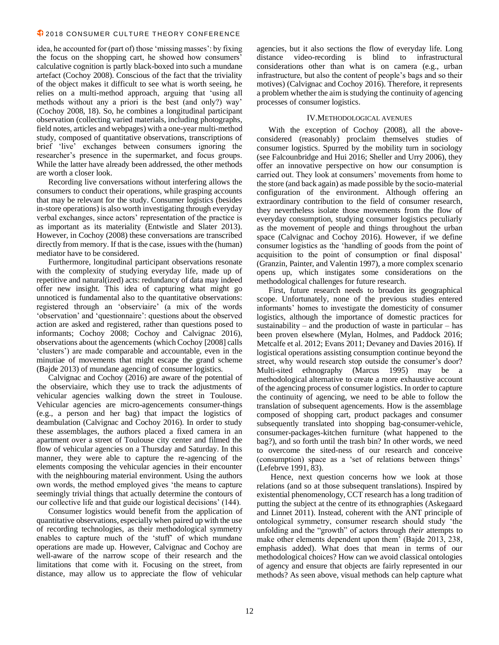idea, he accounted for (part of) those 'missing masses': by fixing the focus on the shopping cart, he showed how consumers' calculative cognition is partly black-boxed into such a mundane artefact (Cochoy 2008). Conscious of the fact that the triviality of the object makes it difficult to see what is worth seeing, he relies on a multi-method approach, arguing that 'using all methods without any a priori is the best (and only?) way' (Cochoy 2008, 18). So, he combines a longitudinal participant observation (collecting varied materials, including photographs, field notes, articles and webpages) with a one-year multi-method study, composed of quantitative observations, transcriptions of brief 'live' exchanges between consumers ignoring the researcher's presence in the supermarket, and focus groups. While the latter have already been addressed, the other methods are worth a closer look.

Recording live conversations without interfering allows the consumers to conduct their operations, while grasping accounts that may be relevant for the study. Consumer logistics (besides in-store operations) is also worth investigating through everyday verbal exchanges, since actors' representation of the practice is as important as its materiality (Entwistle and Slater 2013). However, in Cochoy (2008) these conversations are transcribed directly from memory. If that is the case, issues with the (human) mediator have to be considered.

Furthermore, longitudinal participant observations resonate with the complexity of studying everyday life, made up of repetitive and natural(ized) acts: redundancy of data may indeed offer new insight. This idea of capturing what might go unnoticed is fundamental also to the quantitative observations: registered through an 'observiaire' (a mix of the words 'observation' and 'questionnaire': questions about the observed action are asked and registered, rather than questions posed to informants; Cochoy 2008; Cochoy and Calvignac 2016), observations about the agencements (which Cochoy [2008] calls 'clusters') are made comparable and accountable, even in the minutiae of movements that might escape the grand scheme (Bajde 2013) of mundane agencing of consumer logistics.

Calvignac and Cochoy (2016) are aware of the potential of the observiaire, which they use to track the adjustments of vehicular agencies walking down the street in Toulouse. Vehicular agencies are micro-agencements consumer-things (e.g., a person and her bag) that impact the logistics of deambulation (Calvignac and Cochoy 2016). In order to study these assemblages, the authors placed a fixed camera in an apartment over a street of Toulouse city center and filmed the flow of vehicular agencies on a Thursday and Saturday. In this manner, they were able to capture the re-agencing of the elements composing the vehicular agencies in their encounter with the neighbouring material environment. Using the authors own words, the method employed gives 'the means to capture seemingly trivial things that actually determine the contours of our collective life and that guide our logistical decisions' (144).

Consumer logistics would benefit from the application of quantitative observations, especially when paired up with the use of recording technologies, as their methodological symmetry enables to capture much of the 'stuff' of which mundane operations are made up. However, Calvignac and Cochoy are well-aware of the narrow scope of their research and the limitations that come with it. Focusing on the street, from distance, may allow us to appreciate the flow of vehicular

agencies, but it also sections the flow of everyday life. Long distance video-recording is blind to infrastructural considerations other than what is on camera (e.g., urban infrastructure, but also the content of people's bags and so their motives) (Calvignac and Cochoy 2016). Therefore, it represents a problem whether the aim is studying the continuity of agencing processes of consumer logistics.

#### IV.METHODOLOGICAL AVENUES

With the exception of Cochoy (2008), all the aboveconsidered (reasonably) proclaim themselves studies of consumer logistics. Spurred by the mobility turn in sociology (see Falcounbridge and Hui 2016; Sheller and Urry 2006), they offer an innovative perspective on how our consumption is carried out. They look at consumers' movements from home to the store (and back again) as made possible by the socio-material configuration of the environment. Although offering an extraordinary contribution to the field of consumer research, they nevertheless isolate those movements from the flow of everyday consumption, studying consumer logistics peculiarly as the movement of people and things throughout the urban space (Calvignac and Cochoy 2016). However, if we define consumer logistics as the 'handling of goods from the point of acquisition to the point of consumption or final disposal' (Granzin, Painter, and Valentin 1997), a more complex scenario opens up, which instigates some considerations on the methodological challenges for future research.

First, future research needs to broaden its geographical scope. Unfortunately, none of the previous studies entered informants' homes to investigate the domesticity of consumer logistics, although the importance of domestic practices for sustainability – and the production of waste in particular – has been proven elsewhere (Mylan, Holmes, and Paddock 2016; Metcalfe et al. 2012; Evans 2011; Devaney and Davies 2016). If logistical operations assisting consumption continue beyond the street, why would research stop outside the consumer's door? Multi-sited ethnography (Marcus 1995) may be a methodological alternative to create a more exhaustive account of the agencing process of consumer logistics. In order to capture the continuity of agencing, we need to be able to follow the translation of subsequent agencements. How is the assemblage composed of shopping cart, product packages and consumer subsequently translated into shopping bag-consumer-vehicle, consumer-packages-kitchen furniture (what happened to the bag?), and so forth until the trash bin? In other words, we need to overcome the sited-ness of our research and conceive (consumption) space as a 'set of relations between things' (Lefebrve 1991, 83).

Hence, next question concerns how we look at those relations (and so at those subsequent translations). Inspired by existential phenomenology, CCT research has a long tradition of putting the subject at the centre of its ethnographies (Askegaard and Linnet 2011). Instead, coherent with the ANT principle of ontological symmetry, consumer research should study 'the unfolding and the "growth" of actors through *their* attempts to make other elements dependent upon them' (Bajde 2013, 238, emphasis added). What does that mean in terms of our methodological choices? How can we avoid classical ontologies of agency and ensure that objects are fairly represented in our methods? As seen above, visual methods can help capture what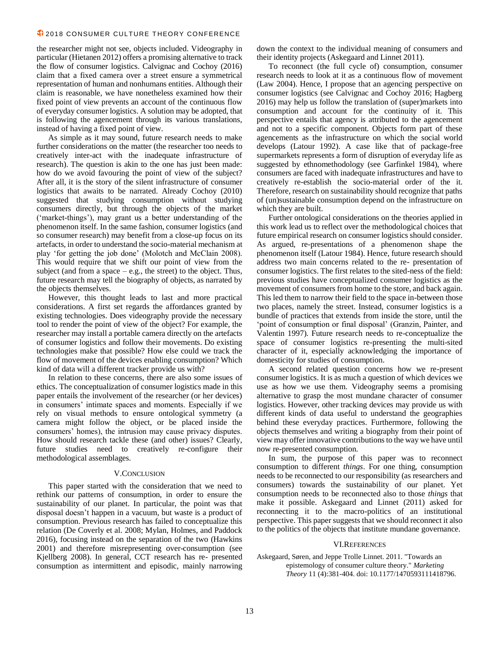the researcher might not see, objects included. Videography in particular (Hietanen 2012) offers a promising alternative to track the flow of consumer logistics. Calvignac and Cochoy (2016) claim that a fixed camera over a street ensure a symmetrical representation of human and nonhumans entities. Although their claim is reasonable, we have nonetheless examined how their fixed point of view prevents an account of the continuous flow of everyday consumer logistics. A solution may be adopted, that is following the agencement through its various translations, instead of having a fixed point of view.

As simple as it may sound, future research needs to make further considerations on the matter (the researcher too needs to creatively inter-act with the inadequate infrastructure of research). The question is akin to the one has just been made: how do we avoid favouring the point of view of the subject? After all, it is the story of the silent infrastructure of consumer logistics that awaits to be narrated. Already Cochoy (2010) suggested that studying consumption without studying consumers directly, but through the objects of the market ('market-things'), may grant us a better understanding of the phenomenon itself. In the same fashion, consumer logistics (and so consumer research) may benefit from a close-up focus on its artefacts, in order to understand the socio-material mechanism at play 'for getting the job done' (Molotch and McClain 2008). This would require that we shift our point of view from the subject (and from a space  $-e.g.,$  the street) to the object. Thus, future research may tell the biography of objects, as narrated by the objects themselves.

However, this thought leads to last and more practical considerations. A first set regards the affordances granted by existing technologies. Does videography provide the necessary tool to render the point of view of the object? For example, the researcher may install a portable camera directly on the artefacts of consumer logistics and follow their movements. Do existing technologies make that possible? How else could we track the flow of movement of the devices enabling consumption? Which kind of data will a different tracker provide us with?

In relation to these concerns, there are also some issues of ethics. The conceptualization of consumer logistics made in this paper entails the involvement of the researcher (or her devices) in consumers' intimate spaces and moments. Especially if we rely on visual methods to ensure ontological symmetry (a camera might follow the object, or be placed inside the consumers' homes), the intrusion may cause privacy disputes. How should research tackle these (and other) issues? Clearly, future studies need to creatively re-configure their methodological assemblages.

#### V.CONCLUSION

This paper started with the consideration that we need to rethink our patterns of consumption, in order to ensure the sustainability of our planet. In particular, the point was that disposal doesn't happen in a vacuum, but waste is a product of consumption. Previous research has failed to conceptualize this relation (De Coverly et al. 2008; Mylan, Holmes, and Paddock 2016), focusing instead on the separation of the two (Hawkins 2001) and therefore misrepresenting over-consumption (see Kjellberg 2008). In general, CCT research has re- presented consumption as intermittent and episodic, mainly narrowing

down the context to the individual meaning of consumers and their identity projects (Askegaard and Linnet 2011).

To reconnect (the full cycle of) consumption, consumer research needs to look at it as a continuous flow of movement (Law 2004). Hence, I propose that an agencing perspective on consumer logistics (see Calvignac and Cochoy 2016; Hagberg 2016) may help us follow the translation of (super)markets into consumption and account for the continuity of it. This perspective entails that agency is attributed to the agencement and not to a specific component. Objects form part of these agencements as the infrastructure on which the social world develops (Latour 1992). A case like that of package-free supermarkets represents a form of disruption of everyday life as suggested by ethnomethodology (see Garfinkel 1984), where consumers are faced with inadequate infrastructures and have to creatively re-establish the socio-material order of the it. Therefore, research on sustainability should recognize that paths of (un)sustainable consumption depend on the infrastructure on which they are built.

Further ontological considerations on the theories applied in this work lead us to reflect over the methodological choices that future empirical research on consumer logistics should consider. As argued, re-presentations of a phenomenon shape the phenomenon itself (Latour 1984). Hence, future research should address two main concerns related to the re- presentation of consumer logistics. The first relates to the sited-ness of the field: previous studies have conceptualized consumer logistics as the movement of consumers from home to the store, and back again. This led them to narrow their field to the space in-between those two places, namely the street. Instead, consumer logistics is a bundle of practices that extends from inside the store, until the 'point of consumption or final disposal' (Granzin, Painter, and Valentin 1997). Future research needs to re-conceptualize the space of consumer logistics re-presenting the multi-sited character of it, especially acknowledging the importance of domesticity for studies of consumption.

A second related question concerns how we re-present consumer logistics. It is as much a question of which devices we use as how we use them. Videography seems a promising alternative to grasp the most mundane character of consumer logistics. However, other tracking devices may provide us with different kinds of data useful to understand the geographies behind these everyday practices. Furthermore, following the objects themselves and writing a biography from their point of view may offer innovative contributions to the way we have until now re-presented consumption.

In sum, the purpose of this paper was to reconnect consumption to different *things*. For one thing, consumption needs to be reconnected to our responsibility (as researchers and consumers) towards the sustainability of our planet. Yet consumption needs to be reconnected also to those *things* that make it possible. Askegaard and Linnet (2011) asked for reconnecting it to the macro-politics of an institutional perspective. This paper suggests that we should reconnect it also to the politics of the objects that institute mundane governance.

#### VI.REFERENCES

Askegaard, Søren, and Jeppe Trolle Linnet. 2011. "Towards an epistemology of consumer culture theory." *Marketing Theory* 11 (4):381-404. doi: 10.1177/1470593111418796.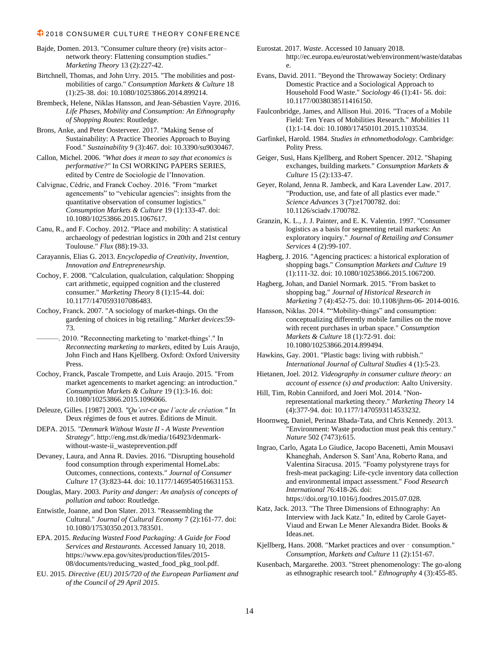Bajde, Domen. 2013. "Consumer culture theory (re) visits actor– network theory: Flattening consumption studies." *Marketing Theory* 13 (2):227-42.

- Birtchnell, Thomas, and John Urry. 2015. "The mobilities and postmobilities of cargo." *Consumption Markets & Culture* 18 (1):25-38. doi: 10.1080/10253866.2014.899214.
- Brembeck, Helene, Niklas Hansson, and Jean-Sébastien Vayre. 2016. *Life Phases, Mobility and Consumption: An Ethnography of Shopping Routes*: Routledge.
- Brons, Anke, and Peter Oosterveer. 2017. "Making Sense of Sustainability: A Practice Theories Approach to Buying Food." *Sustainability* 9 (3):467. doi: 10.3390/su9030467.
- Callon, Michel. 2006. *"What does it mean to say that economics is performative?"* In CSI WORKING PAPERS SERIES, edited by Centre de Sociologie de l'Innovation.
- Calvignac, Cédric, and Franck Cochoy. 2016. "From "market agencements" to "vehicular agencies": insights from the quantitative observation of consumer logistics." *Consumption Markets & Culture* 19 (1):133-47. doi: 10.1080/10253866.2015.1067617.
- Canu, R., and F. Cochoy. 2012. "Place and mobility: A statistical archaeology of pedestrian logistics in 20th and 21st century Toulouse." *Flux* (88):19-33.
- Carayannis, Elias G. 2013. *Encyclopedia of Creativity, Invention, Innovation and Entrepreneurship.*
- Cochoy, F. 2008. "Calculation, qualculation, calqulation: Shopping cart arithmetic, equipped cognition and the clustered consumer." *Marketing Theory* 8 (1):15-44. doi: 10.1177/1470593107086483.
- Cochoy, Franck. 2007. "A sociology of market-things. On the gardening of choices in big retailing." *Market devices*:59- 73.
- ———. 2010. "Reconnecting marketing to 'market-things'." In *Reconnecting marketing to markets*, edited by Luis Araujo, John Finch and Hans Kjellberg. Oxford: Oxford University Press.
- Cochoy, Franck, Pascale Trompette, and Luis Araujo. 2015. "From market agencements to market agencing: an introduction." *Consumption Markets & Culture* 19 (1):3-16. doi: 10.1080/10253866.2015.1096066.
- Deleuze, Gilles. [1987] 2003. *"Qu'est-ce que l'acte de création."* In Deux régimes de fous et autres. Éditions de Minuit.
- DEPA. 2015. *"Denmark Without Waste II - A Waste Prevention Strategy"*. http://eng.mst.dk/media/164923/denmarkwithout-waste-ii\_wasteprevention.pdf
- Devaney, Laura, and Anna R. Davies. 2016. "Disrupting household food consumption through experimental HomeLabs: Outcomes, connections, contexts." *Journal of Consumer Culture* 17 (3):823-44. doi: 10.1177/1469540516631153.
- Douglas, Mary. 2003. *Purity and danger: An analysis of concepts of pollution and taboo*: Routledge.
- Entwistle, Joanne, and Don Slater. 2013. "Reassembling the Cultural." *Journal of Cultural Economy* 7 (2):161-77. doi: 10.1080/17530350.2013.783501.
- EPA. 2015. *Reducing Wasted Food Packaging: A Guide for Food Services and Restaurants.* Accessed January 10, 2018. https://www.epa.gov/sites/production/files/2015- 08/documents/reducing\_wasted\_food\_pkg\_tool.pdf.
- EU. 2015. *Directive (EU) 2015/720 of the European Parliament and of the Council of 29 April 2015.*

Eurostat. 2017. *Waste*. Accessed 10 January 2018. http://ec.europa.eu/eurostat/web/environment/waste/databas e.

- Evans, David. 2011. "Beyond the Throwaway Society: Ordinary Domestic Practice and a Sociological Approach to Household Food Waste." *Sociology* 46 (1):41- 56. doi: 10.1177/0038038511416150.
- Faulconbridge, James, and Allison Hui. 2016. "Traces of a Mobile Field: Ten Years of Mobilities Research." *Mobilities* 11 (1):1-14. doi: 10.1080/17450101.2015.1103534.
- Garfinkel, Harold. 1984. *Studies in ethnomethodology.* Cambridge: Polity Press.
- Geiger, Susi, Hans Kjellberg, and Robert Spencer. 2012. "Shaping exchanges, building markets." *Consumption Markets & Culture* 15 (2):133-47.
- Geyer, Roland, Jenna R. Jambeck, and Kara Lavender Law. 2017. "Production, use, and fate of all plastics ever made." *Science Advances* 3 (7):e1700782. doi: 10.1126/sciadv.1700782.
- Granzin, K. L., J. J. Painter, and E. K. Valentin. 1997. "Consumer logistics as a basis for segmenting retail markets: An exploratory inquiry." *Journal of Retailing and Consumer Services* 4 (2):99-107.
- Hagberg, J. 2016. "Agencing practices: a historical exploration of shopping bags." *Consumption Markets and Culture* 19 (1):111-32. doi: 10.1080/10253866.2015.1067200.
- Hagberg, Johan, and Daniel Normark. 2015. "From basket to shopping bag." *Journal of Historical Research in Marketing* 7 (4):452-75. doi: 10.1108/jhrm-06- 2014-0016.
- Hansson, Niklas. 2014. ""Mobility-things" and consumption: conceptualizing differently mobile families on the move with recent purchases in urban space." *Consumption Markets & Culture* 18 (1):72-91. doi: 10.1080/10253866.2014.899494.
- Hawkins, Gay. 2001. "Plastic bags: living with rubbish." *International Journal of Cultural Studies* 4 (1):5-23.
- Hietanen, Joel. 2012. *Videography in consumer culture theory: an account of essence (s) and production*: Aalto University.
- Hill, Tim, Robin Canniford, and Joeri Mol. 2014. "Nonrepresentational marketing theory." *Marketing Theory* 14 (4):377-94. doi: 10.1177/1470593114533232.
- Hoornweg, Daniel, Perinaz Bhada-Tata, and Chris Kennedy. 2013. "Environment: Waste production must peak this century." *Nature* 502 (7473):615.
- Ingrao, Carlo, Agata Lo Giudice, Jacopo Bacenetti, Amin Mousavi Khaneghah, Anderson S. Sant'Ana, Roberto Rana, and Valentina Siracusa. 2015. "Foamy polystyrene trays for fresh-meat packaging: Life-cycle inventory data collection and environmental impact assessment." *Food Research International* 76:418-26. doi: https://doi.org/10.1016/j.foodres.2015.07.028.
- Katz, Jack. 2013. "The Three Dimensions of Ethnography: An Interview with Jack Katz." In, edited by Carole Gayet-Viaud and Erwan Le Mener Alexandra Bidet. Books & Ideas.net.
- Kjellberg, Hans. 2008. "Market practices and over consumption." *Consumption, Markets and Culture* 11 (2):151-67.
- Kusenbach, Margarethe. 2003. "Street phenomenology: The go-along as ethnographic research tool." *Ethnography* 4 (3):455-85.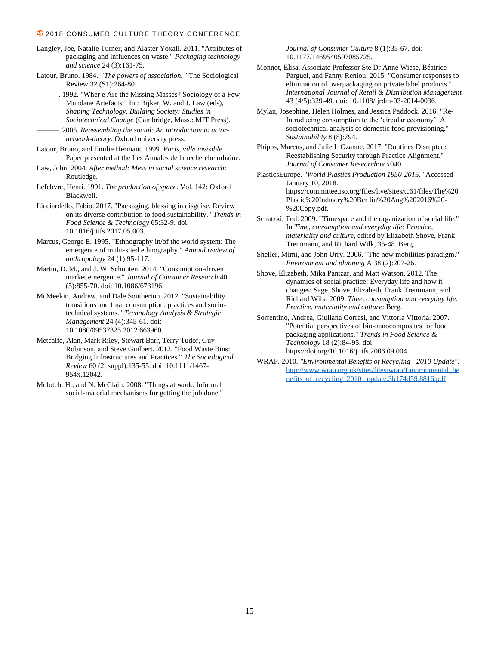- Langley, Joe, Natalie Turner, and Alaster Yoxall. 2011. "Attributes of packaging and influences on waste." *Packaging technology and science* 24 (3):161-75.
- Latour, Bruno. 1984. *"The powers of association."* The Sociological Review 32 (S1):264-80.
- ———. 1992. "Wher e Are the Missing Masses? Sociology of a Few Mundane Artefacts." In.: Bijker, W. and J. Law (eds), *Shaping Technology, Building Society: Studies in Sociotechnical Change* (Cambridge, Mass.: MIT Press).
- ———. 2005. *Reassembling the social: An introduction to actornetwork-theory*: Oxford university press.
- Latour, Bruno, and Emilie Hermant. 1999. *Paris, ville invisible*. Paper presented at the Les Annales de la recherche urbaine.
- Law, John. 2004. *After method: Mess in social science research*: Routledge.
- Lefebvre, Henri. 1991. *The production of space*. Vol. 142: Oxford Blackwell.
- Licciardello, Fabio. 2017. "Packaging, blessing in disguise. Review on its diverse contribution to food sustainability." *Trends in Food Science & Technology* 65:32-9. doi: 10.1016/j.tifs.2017.05.003.
- Marcus, George E. 1995. "Ethnography in/of the world system: The emergence of multi-sited ethnography." *Annual review of anthropology* 24 (1):95-117.
- Martin, D. M., and J. W. Schouten. 2014. "Consumption-driven market emergence." *Journal of Consumer Research* 40 (5):855-70. doi: 10.1086/673196.
- McMeekin, Andrew, and Dale Southerton. 2012. "Sustainability transitions and final consumption: practices and sociotechnical systems." *Technology Analysis & Strategic Management* 24 (4):345-61. doi: 10.1080/09537325.2012.663960.
- Metcalfe, Alan, Mark Riley, Stewart Barr, Terry Tudor, Guy Robinson, and Steve Guilbert. 2012. "Food Waste Bins: Bridging Infrastructures and Practices." *The Sociological Review* 60 (2\_suppl):135-55. doi: 10.1111/1467- 954x.12042.
- Molotch, H., and N. McClain. 2008. "Things at work: Informal social-material mechanisms for getting the job done."

*Journal of Consumer Culture* 8 (1):35-67. doi: 10.1177/1469540507085725.

- Monnot, Elisa, Associate Professor Ste Dr Anne Wiese, Béatrice Parguel, and Fanny Reniou. 2015. "Consumer responses to elimination of overpackaging on private label products." *International Journal of Retail & Distribution Management* 43 (4/5):329-49. doi: 10.1108/ijrdm-03-2014-0036.
- Mylan, Josephine, Helen Holmes, and Jessica Paddock. 2016. "Re-Introducing consumption to the 'circular economy': A sociotechnical analysis of domestic food provisioning." *Sustainability* 8 (8):794.
- Phipps, Marcus, and Julie L Ozanne. 2017. "Routines Disrupted: Reestablishing Security through Practice Alignment." *Journal of Consumer Research*:ucx040.
- PlasticsEurope. *"World Plastics Production 1950-2015."* Accessed January 10, 2018. https://committee.iso.org/files/live/sites/tc61/files/The%20 Plastic%20Industry%20Ber lin%20Aug%202016%20- %20Copy.pdf.
- Schatzki, Ted. 2009. "Timespace and the organization of social life." In *Time, consumption and everyday life: Practice, materiality and culture*, edited by Elizabeth Shove, Frank Trentmann, and Richard Wilk, 35-48. Berg.
- Sheller, Mimi, and John Urry. 2006. "The new mobilities paradigm." *Environment and planning* A 38 (2):207-26.
- Shove, Elizabeth, Mika Pantzar, and Matt Watson. 2012. The dynamics of social practice: Everyday life and how it changes: Sage. Shove, Elizabeth, Frank Trentmann, and Richard Wilk. 2009. *Time, consumption and everyday life: Practice, materiality and culture*: Berg.
- Sorrentino, Andrea, Giuliana Gorrasi, and Vittoria Vittoria. 2007. "Potential perspectives of bio-nanocomposites for food packaging applications." *Trends in Food Science & Technology* 18 (2):84-95. doi: https://doi.org/10.1016/j.tifs.2006.09.004.
- WRAP. 2010. *"Environmental Benefits of Recycling - 2010 Update"*. [http://www.wrap.org.uk/sites/files/wrap/Environmental\\_be](http://www.wrap.org.uk/sites/files/wrap/Environmental_benefits_of_recycling_2010_%20update.3b174d59.8816.pdf) [nefits\\_of\\_recycling\\_2010\\_ update.3b174d59.8816.pdf](http://www.wrap.org.uk/sites/files/wrap/Environmental_benefits_of_recycling_2010_%20update.3b174d59.8816.pdf)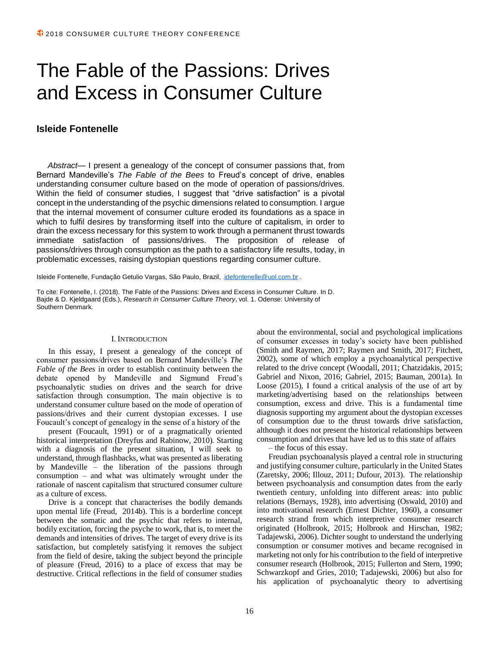# The Fable of the Passions: Drives and Excess in Consumer Culture

### **Isleide Fontenelle**

*Abstract*— I present a genealogy of the concept of consumer passions that, from Bernard Mandeville's *The Fable of the Bees* to Freud's concept of drive, enables understanding consumer culture based on the mode of operation of passions/drives. Within the field of consumer studies, I suggest that "drive satisfaction" is a pivotal concept in the understanding of the psychic dimensions related to consumption. I argue that the internal movement of consumer culture eroded its foundations as a space in which to fulfil desires by transforming itself into the culture of capitalism, in order to drain the excess necessary for this system to work through a permanent thrust towards immediate satisfaction of passions/drives. The proposition of release of passions/drives through consumption as the path to a satisfactory life results, today, in problematic excesses, raising dystopian questions regarding consumer culture.

Isleide Fontenelle, Fundação Getulio Vargas, São Paulo, Brazil, *[idefontenelle@uol.com.br](mailto:idefontenelle@uol.com.br).* 

To cite: Fontenelle, I. (2018). The Fable of the Passions: Drives and Excess in Consumer Culture. In D. Bajde & D. Kjeldgaard (Eds.), *Research in Consumer Culture Theory*, vol. 1. Odense: University of Southern Denmark.

#### I. INTRODUCTION

In this essay, I present a genealogy of the concept of consumer passions/drives based on Bernard Mandeville's *The Fable of the Bees* in order to establish continuity between the debate opened by Mandeville and Sigmund Freud's psychoanalytic studies on drives and the search for drive satisfaction through consumption. The main objective is to understand consumer culture based on the mode of operation of passions/drives and their current dystopian excesses. I use Foucault's concept of genealogy in the sense of a history of the

present (Foucault, 1991) or of a pragmatically oriented historical interpretation (Dreyfus and Rabinow, 2010). Starting with a diagnosis of the present situation, I will seek to understand, through flashbacks, what was presented as liberating by Mandeville – the liberation of the passions through consumption – and what was ultimately wrought under the rationale of nascent capitalism that structured consumer culture as a culture of excess.

Drive is a concept that characterises the bodily demands upon mental life (Freud, 2014b). This is a borderline concept between the somatic and the psychic that refers to internal, bodily excitation, forcing the psyche to work, that is, to meet the demands and intensities of drives. The target of every drive is its satisfaction, but completely satisfying it removes the subject from the field of desire, taking the subject beyond the principle of pleasure (Freud, 2016) to a place of excess that may be destructive. Critical reflections in the field of consumer studies

about the environmental, social and psychological implications of consumer excesses in today's society have been published (Smith and Raymen, 2017; Raymen and Smith, 2017; Fitchett, 2002), some of which employ a psychoanalytical perspective related to the drive concept (Woodall, 2011; Chatzidakis, 2015; Gabriel and Nixon, 2016; Gabriel, 2015; Bauman, 2001a). In Loose (2015), I found a critical analysis of the use of art by marketing/advertising based on the relationships between consumption, excess and drive. This is a fundamental time diagnosis supporting my argument about the dystopian excesses of consumption due to the thrust towards drive satisfaction, although it does not present the historical relationships between consumption and drives that have led us to this state of affairs

– the focus of this essay.

Freudian psychoanalysis played a central role in structuring and justifying consumer culture, particularly in the United States (Zaretsky, 2006; Illouz, 2011; Dufour, 2013). The relationship between psychoanalysis and consumption dates from the early twentieth century, unfolding into different areas: into public relations (Bernays, 1928), into advertising (Oswald, 2010) and into motivational research (Ernest Dichter, 1960), a consumer research strand from which interpretive consumer research originated (Holbrook, 2015; Holbrook and Hirschan, 1982; Tadajewski, 2006). Dichter sought to understand the underlying consumption or consumer motives and became recognised in marketing not only for his contribution to the field of interpretive consumer research (Holbrook, 2015; Fullerton and Stern, 1990; Schwarzkopf and Gries, 2010; Tadajewski, 2006) but also for his application of psychoanalytic theory to advertising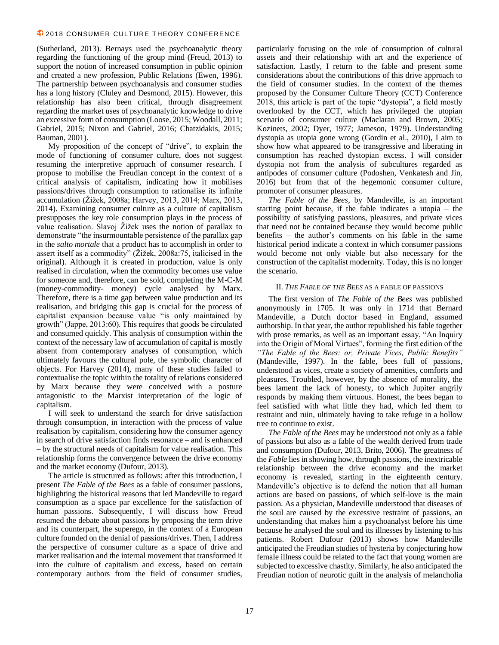(Sutherland, 2013). Bernays used the psychoanalytic theory regarding the functioning of the group mind (Freud, 2013) to support the notion of increased consumption in public opinion and created a new profession, Public Relations (Ewen, 1996). The partnership between psychoanalysis and consumer studies has a long history (Cluley and Desmond, 2015). However, this relationship has also been critical, through disagreement regarding the market uses of psychoanalytic knowledge to drive an excessive form of consumption (Loose, 2015; Woodall, 2011; Gabriel, 2015; Nixon and Gabriel, 2016; Chatzidakis, 2015; Bauman, 2001).

My proposition of the concept of "drive", to explain the mode of functioning of consumer culture, does not suggest resuming the interpretive approach of consumer research. I propose to mobilise the Freudian concept in the context of a critical analysis of capitalism, indicating how it mobilises passions/drives through consumption to rationalise its infinite accumulation (Žižek, 2008a; Harvey, 2013, 2014; Marx, 2013, 2014). Examining consumer culture as a culture of capitalism presupposes the key role consumption plays in the process of value realisation. Slavoj Žižek uses the notion of parallax to demonstrate "the insurmountable persistence of the parallax gap in the *salto mortale* that a product has to accomplish in order to assert itself as a commodity" (Žižek, 2008a:75, italicised in the original). Although it is created in production, value is only realised in circulation, when the commodity becomes use value for someone and, therefore, can be sold, completing the M-C-M (money-commodity- money) cycle analysed by Marx. Therefore, there is a time gap between value production and its realisation, and bridging this gap is crucial for the process of capitalist expansion because value "is only maintained by growth" (Jappe, 2013:60). This requires that goods be circulated and consumed quickly. This analysis of consumption within the context of the necessary law of accumulation of capital is mostly absent from contemporary analyses of consumption, which ultimately favours the cultural pole, the symbolic character of objects. For Harvey (2014), many of these studies failed to contextualise the topic within the totality of relations considered by Marx because they were conceived with a posture antagonistic to the Marxist interpretation of the logic of capitalism.

I will seek to understand the search for drive satisfaction through consumption, in interaction with the process of value realisation by capitalism, considering how the consumer agency in search of drive satisfaction finds resonance – and is enhanced – by the structural needs of capitalism for value realisation. This relationship forms the convergence between the drive economy and the market economy (Dufour, 2013).

The article is structured as follows: after this introduction, I present *The Fable of the Bees* as a fable of consumer passions, highlighting the historical reasons that led Mandeville to regard consumption as a space par excellence for the satisfaction of human passions. Subsequently, I will discuss how Freud resumed the debate about passions by proposing the term drive and its counterpart, the superego, in the context of a European culture founded on the denial of passions/drives. Then, I address the perspective of consumer culture as a space of drive and market realisation and the internal movement that transformed it into the culture of capitalism and excess, based on certain contemporary authors from the field of consumer studies,

particularly focusing on the role of consumption of cultural assets and their relationship with art and the experience of satisfaction. Lastly, I return to the fable and present some considerations about the contributions of this drive approach to the field of consumer studies. In the context of the themes proposed by the Consumer Culture Theory (CCT) Conference 2018, this article is part of the topic "dystopia", a field mostly overlooked by the CCT, which has privileged the utopian scenario of consumer culture (Maclaran and Brown, 2005; Kozinets, 2002; Dyer, 1977; Jameson, 1979). Understanding dystopia as utopia gone wrong (Gordin et al., 2010), I aim to show how what appeared to be transgressive and liberating in consumption has reached dystopian excess. I will consider dystopia not from the analysis of subcultures regarded as antipodes of consumer culture (Podoshen, Venkatesh and Jin, 2016) but from that of the hegemonic consumer culture, promoter of consumer pleasures.

*The Fable of the Bees*, by Mandeville, is an important starting point because, if the fable indicates a utopia – the possibility of satisfying passions, pleasures, and private vices that need not be contained because they would become public benefits – the author's comments on his fable in the same historical period indicate a context in which consumer passions would become not only viable but also necessary for the construction of the capitalist modernity. Today, this is no longer the scenario.

#### II.*THE FABLE OF THE BEES* AS A FABLE OF PASSIONS

The first version of *The Fable of the Bees* was published anonymously in 1705. It was only in 1714 that Bernard Mandeville, a Dutch doctor based in England, assumed authorship. In that year, the author republished his fable together with prose remarks, as well as an important essay, "An Inquiry into the Origin of Moral Virtues", forming the first edition of the *"The Fable of the Bees: or, Private Vices, Public Benefits"*  (Mandeville, 1997). In the fable, bees full of passions, understood as vices, create a society of amenities, comforts and pleasures. Troubled, however, by the absence of morality, the bees lament the lack of honesty, to which Jupiter angrily responds by making them virtuous. Honest, the bees began to feel satisfied with what little they had, which led them to restraint and ruin, ultimately having to take refuge in a hollow tree to continue to exist.

*The Fable of the Bees* may be understood not only as a fable of passions but also as a fable of the wealth derived from trade and consumption (Dufour, 2013, Brito, 2006). The greatness of the *Fable* lies in showing how, through passions, the inextricable relationship between the drive economy and the market economy is revealed, starting in the eighteenth century. Mandeville's objective is to defend the notion that all human actions are based on passions, of which self-love is the main passion. As a physician, Mandeville understood that diseases of the soul are caused by the excessive restraint of passions, an understanding that makes him a psychoanalyst before his time because he analysed the soul and its illnesses by listening to his patients. Robert Dufour (2013) shows how Mandeville anticipated the Freudian studies of hysteria by conjecturing how female illness could be related to the fact that young women are subjected to excessive chastity. Similarly, he also anticipated the Freudian notion of neurotic guilt in the analysis of melancholia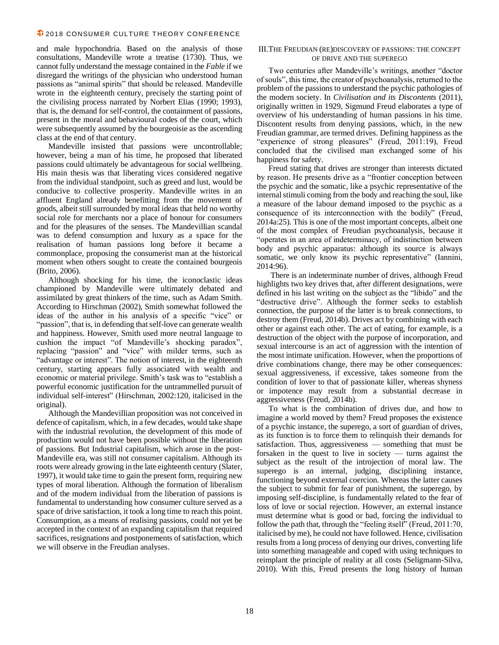and male hypochondria. Based on the analysis of those consultations, Mandeville wrote a treatise (1730). Thus, we cannot fully understand the message contained in the *Fable* if we disregard the writings of the physician who understood human passions as "animal spirits" that should be released. Mandeville wrote in the eighteenth century, precisely the starting point of the civilising process narrated by Norbert Elias (1990; 1993), that is, the demand for self-control, the containment of passions, present in the moral and behavioural codes of the court, which were subsequently assumed by the bourgeoisie as the ascending class at the end of that century.

Mandeville insisted that passions were uncontrollable; however, being a man of his time, he proposed that liberated passions could ultimately be advantageous for social wellbeing. His main thesis was that liberating vices considered negative from the individual standpoint, such as greed and lust, would be conducive to collective prosperity. Mandeville writes in an affluent England already benefitting from the movement of goods, albeit still surrounded by moral ideas that held no worthy social role for merchants nor a place of honour for consumers and for the pleasures of the senses. The Mandevillian scandal was to defend consumption and luxury as a space for the realisation of human passions long before it became a commonplace, proposing the consumerist man at the historical moment when others sought to create the contained bourgeois (Brito, 2006).

Although shocking for his time, the iconoclastic ideas championed by Mandeville were ultimately debated and assimilated by great thinkers of the time, such as Adam Smith. According to Hirschman (2002), Smith somewhat followed the ideas of the author in his analysis of a specific "vice" or "passion", that is, in defending that self-love can generate wealth and happiness. However, Smith used more neutral language to cushion the impact "of Mandeville's shocking paradox", replacing "passion" and "vice" with milder terms, such as "advantage or interest". The notion of interest, in the eighteenth century, starting appears fully associated with wealth and economic or material privilege. Smith's task was to "establish a powerful economic justification for the untrammelled pursuit of individual self-interest" (Hirschman, 2002:120, italicised in the original).

Although the Mandevillian proposition was not conceived in defence of capitalism, which, in a few decades, would take shape with the industrial revolution, the development of this mode of production would not have been possible without the liberation of passions. But Industrial capitalism, which arose in the post-Mandeville era, was still not consumer capitalism. Although its roots were already growing in the late eighteenth century (Slater, 1997), it would take time to gain the present form, requiring new types of moral liberation. Although the formation of liberalism and of the modern individual from the liberation of passions is fundamental to understanding how consumer culture served as a space of drive satisfaction, it took a long time to reach this point. Consumption, as a means of realising passions, could not yet be accepted in the context of an expanding capitalism that required sacrifices, resignations and postponements of satisfaction, which we will observe in the Freudian analyses.

#### III.THE FREUDIAN (RE)DISCOVERY OF PASSIONS: THE CONCEPT OF DRIVE AND THE SUPEREGO

Two centuries after Mandeville's writings, another "doctor of souls", this time, the creator of psychoanalysis, returned to the problem of the passions to understand the psychic pathologies of the modern society. In *Civilisation and its Discontents* (2011), originally written in 1929, Sigmund Freud elaborates a type of overview of his understanding of human passions in his time. Discontent results from denying passions, which, in the new Freudian grammar, are termed drives. Defining happiness as the "experience of strong pleasures" (Freud, 2011:19), Freud concluded that the civilised man exchanged some of his happiness for safety.

Freud stating that drives are stronger than interests dictated by reason. He presents drive as a "frontier conception between the psychic and the somatic, like a psychic representative of the internal stimuli coming from the body and reaching the soul, like a measure of the labour demand imposed to the psychic as a consequence of its interconnection with the bodily" (Freud, 2014a:25). This is one of the most important concepts, albeit one of the most complex of Freudian psychoanalysis, because it "operates in an area of indeterminacy, of indistinction between body and psychic apparatus: although its source is always somatic, we only know its psychic representative" (Iannini, 2014:96).

There is an indeterminate number of drives, although Freud highlights two key drives that, after different designations, were defined in his last writing on the subject as the "libido" and the "destructive drive". Although the former seeks to establish connection, the purpose of the latter is to break connections, to destroy them (Freud, 2014b). Drives act by combining with each other or against each other. The act of eating, for example, is a destruction of the object with the purpose of incorporation, and sexual intercourse is an act of aggression with the intention of the most intimate unification. However, when the proportions of drive combinations change, there may be other consequences: sexual aggressiveness, if excessive, takes someone from the condition of lover to that of passionate killer, whereas shyness or impotence may result from a substantial decrease in aggressiveness (Freud, 2014b).

To what is the combination of drives due, and how to imagine a world moved by them? Freud proposes the existence of a psychic instance, the superego, a sort of guardian of drives, as its function is to force them to relinquish their demands for satisfaction. Thus, aggressiveness — something that must be forsaken in the quest to live in society — turns against the subject as the result of the introjection of moral law. The superego is an internal, judging, disciplining instance, functioning beyond external coercion. Whereas the latter causes the subject to submit for fear of punishment, the superego, by imposing self-discipline, is fundamentally related to the fear of loss of love or social rejection. However, an external instance must determine what is good or bad, forcing the individual to follow the path that, through the "feeling itself" (Freud, 2011:70, italicised by me), he could not have followed. Hence, civilisation results from a long process of denying our drives, converting life into something manageable and coped with using techniques to reimplant the principle of reality at all costs (Seligmann-Silva, 2010). With this, Freud presents the long history of human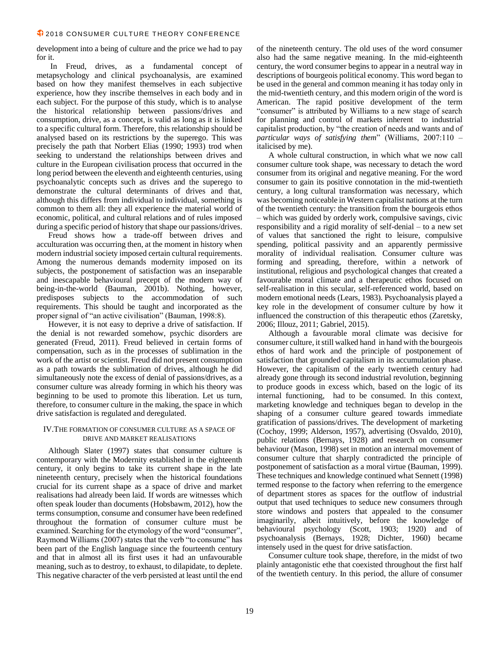development into a being of culture and the price we had to pay for it.

In Freud, drives, as a fundamental concept of metapsychology and clinical psychoanalysis, are examined based on how they manifest themselves in each subjective experience, how they inscribe themselves in each body and in each subject. For the purpose of this study, which is to analyse the historical relationship between passions/drives and consumption, drive, as a concept, is valid as long as it is linked to a specific cultural form. Therefore, this relationship should be analysed based on its restrictions by the superego. This was precisely the path that Norbert Elias (1990; 1993) trod when seeking to understand the relationships between drives and culture in the European civilisation process that occurred in the long period between the eleventh and eighteenth centuries, using psychoanalytic concepts such as drives and the superego to demonstrate the cultural determinants of drives and that, although this differs from individual to individual, something is common to them all: they all experience the material world of economic, political, and cultural relations and of rules imposed during a specific period of history that shape our passions/drives.

Freud shows how a trade-off between drives and acculturation was occurring then, at the moment in history when modern industrial society imposed certain cultural requirements. Among the numerous demands modernity imposed on its subjects, the postponement of satisfaction was an inseparable and inescapable behavioural precept of the modern way of being-in-the-world (Bauman, 2001b). Nothing, however, predisposes subjects to the accommodation of such requirements. This should be taught and incorporated as the proper signal of "an active civilisation" (Bauman, 1998:8).

However, it is not easy to deprive a drive of satisfaction. If the denial is not rewarded somehow, psychic disorders are generated (Freud, 2011). Freud believed in certain forms of compensation, such as in the processes of sublimation in the work of the artist or scientist. Freud did not present consumption as a path towards the sublimation of drives, although he did simultaneously note the excess of denial of passions/drives, as a consumer culture was already forming in which his theory was beginning to be used to promote this liberation. Let us turn, therefore, to consumer culture in the making, the space in which drive satisfaction is regulated and deregulated.

#### IV.THE FORMATION OF CONSUMER CULTURE AS A SPACE OF DRIVE AND MARKET REALISATIONS

Although Slater (1997) states that consumer culture is contemporary with the Modernity established in the eighteenth century, it only begins to take its current shape in the late nineteenth century, precisely when the historical foundations crucial for its current shape as a space of drive and market realisations had already been laid. If words are witnesses which often speak louder than documents (Hobsbawm, 2012), how the terms consumption, consume and consumer have been redefined throughout the formation of consumer culture must be examined. Searching for the etymology of the word "consumer", Raymond Williams (2007) states that the verb "to consume" has been part of the English language since the fourteenth century and that in almost all its first uses it had an unfavourable meaning, such as to destroy, to exhaust, to dilapidate, to deplete. This negative character of the verb persisted at least until the end

of the nineteenth century. The old uses of the word consumer also had the same negative meaning. In the mid-eighteenth century, the word consumer begins to appear in a neutral way in descriptions of bourgeois political economy. This word began to be used in the general and common meaning it has today only in the mid-twentieth century, and this modern origin of the word is American. The rapid positive development of the term "consumer" is attributed by Williams to a new stage of search for planning and control of markets inherent to industrial capitalist production, by "the creation of needs and wants and of *particular ways of satisfying them*" (Williams, 2007:110 – italicised by me).

A whole cultural construction, in which what we now call consumer culture took shape, was necessary to detach the word consumer from its original and negative meaning. For the word consumer to gain its positive connotation in the mid-twentieth century, a long cultural transformation was necessary, which was becoming noticeable in Western capitalist nations at the turn of the twentieth century: the transition from the bourgeois ethos – which was guided by orderly work, compulsive savings, civic responsibility and a rigid morality of self-denial – to a new set of values that sanctioned the right to leisure, compulsive spending, political passivity and an apparently permissive morality of individual realisation. Consumer culture was forming and spreading, therefore, within a network of institutional, religious and psychological changes that created a favourable moral climate and a therapeutic ethos focused on self-realisation in this secular, self-referenced world, based on modern emotional needs (Lears, 1983). Psychoanalysis played a key role in the development of consumer culture by how it influenced the construction of this therapeutic ethos (Zaretsky, 2006; Illouz, 2011; Gabriel, 2015).

Although a favourable moral climate was decisive for consumer culture, it still walked hand in hand with the bourgeois ethos of hard work and the principle of postponement of satisfaction that grounded capitalism in its accumulation phase. However, the capitalism of the early twentieth century had already gone through its second industrial revolution, beginning to produce goods in excess which, based on the logic of its internal functioning, had to be consumed. In this context, marketing knowledge and techniques began to develop in the shaping of a consumer culture geared towards immediate gratification of passions/drives. The development of marketing (Cochoy, 1999; Alderson, 1957), advertising (Osvaldo, 2010), public relations (Bernays, 1928) and research on consumer behaviour (Mason, 1998) set in motion an internal movement of consumer culture that sharply contradicted the principle of postponement of satisfaction as a moral virtue (Bauman, 1999). These techniques and knowledge continued what Sennett (1998) termed response to the factory when referring to the emergence of department stores as spaces for the outflow of industrial output that used techniques to seduce new consumers through store windows and posters that appealed to the consumer imaginarily, albeit intuitively, before the knowledge of behavioural psychology (Scott, 1903; 1920) and of psychoanalysis (Bernays, 1928; Dichter, 1960) became intensely used in the quest for drive satisfaction.

Consumer culture took shape, therefore, in the midst of two plainly antagonistic ethe that coexisted throughout the first half of the twentieth century. In this period, the allure of consumer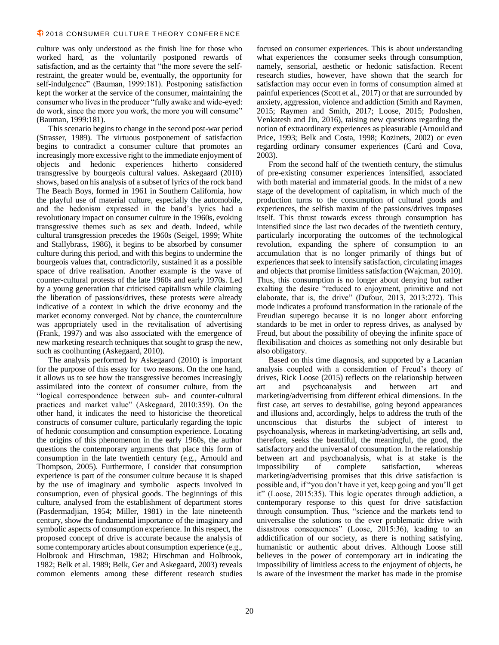culture was only understood as the finish line for those who worked hard, as the voluntarily postponed rewards of satisfaction, and as the certainty that "the more severe the selfrestraint, the greater would be, eventually, the opportunity for self-indulgence" (Bauman, 1999:181). Postponing satisfaction kept the worker at the service of the consumer, maintaining the consumer who lives in the producer "fully awake and wide-eyed: do work, since the more you work, the more you will consume" (Bauman, 1999:181).

This scenario begins to change in the second post-war period (Strasser, 1989). The virtuous postponement of satisfaction begins to contradict a consumer culture that promotes an increasingly more excessive right to the immediate enjoyment of objects and hedonic experiences hitherto considered transgressive by bourgeois cultural values. Askegaard (2010) shows, based on his analysis of a subset of lyrics of the rock band The Beach Boys, formed in 1961 in Southern California, how the playful use of material culture, especially the automobile, and the hedonism expressed in the band's lyrics had a revolutionary impact on consumer culture in the 1960s, evoking transgressive themes such as sex and death. Indeed, while cultural transgression precedes the 1960s (Seigel, 1999; White and Stallybrass, 1986), it begins to be absorbed by consumer culture during this period, and with this begins to undermine the bourgeois values that, contradictorily, sustained it as a possible space of drive realisation. Another example is the wave of counter-cultural protests of the late 1960s and early 1970s. Led by a young generation that criticised capitalism while claiming the liberation of passions/drives, these protests were already indicative of a context in which the drive economy and the market economy converged. Not by chance, the counterculture was appropriately used in the revitalisation of advertising (Frank, 1997) and was also associated with the emergence of new marketing research techniques that sought to grasp the new, such as coolhunting (Askegaard, 2010).

The analysis performed by Askegaard (2010) is important for the purpose of this essay for two reasons. On the one hand, it allows us to see how the transgressive becomes increasingly assimilated into the context of consumer culture, from the "logical correspondence between sub- and counter-cultural practices and market value" (Askegaard, 2010:359). On the other hand, it indicates the need to historicise the theoretical constructs of consumer culture, particularly regarding the topic of hedonic consumption and consumption experience. Locating the origins of this phenomenon in the early 1960s, the author questions the contemporary arguments that place this form of consumption in the late twentieth century (e.g., Arnould and Thompson, 2005). Furthermore, I consider that consumption experience is part of the consumer culture because it is shaped by the use of imaginary and symbolic aspects involved in consumption, even of physical goods. The beginnings of this culture, analysed from the establishment of department stores (Pasdermadjian, 1954; Miller, 1981) in the late nineteenth century, show the fundamental importance of the imaginary and symbolic aspects of consumption experience. In this respect, the proposed concept of drive is accurate because the analysis of some contemporary articles about consumption experience (e.g., Holbrook and Hirschman, 1982; Hirschman and Holbrook, 1982; Belk et al. 1989; Belk, Ger and Askegaard, 2003) reveals common elements among these different research studies

focused on consumer experiences. This is about understanding what experiences the consumer seeks through consumption, namely, sensorial, aesthetic or hedonic satisfaction. Recent research studies, however, have shown that the search for satisfaction may occur even in forms of consumption aimed at painful experiences (Scott et al., 2017) or that are surrounded by anxiety, aggression, violence and addiction (Smith and Raymen, 2015; Raymen and Smith, 2017; Loose, 2015; Podoshen, Venkatesh and Jin, 2016), raising new questions regarding the notion of extraordinary experiences as pleasurable (Arnould and Price, 1993; Belk and Costa, 1998; Kozinets, 2002) or even regarding ordinary consumer experiences (Carú and Cova, 2003).

From the second half of the twentieth century, the stimulus of pre-existing consumer experiences intensified, associated with both material and immaterial goods. In the midst of a new stage of the development of capitalism, in which much of the production turns to the consumption of cultural goods and experiences, the selfish maxim of the passions/drives imposes itself. This thrust towards excess through consumption has intensified since the last two decades of the twentieth century, particularly incorporating the outcomes of the technological revolution, expanding the sphere of consumption to an accumulation that is no longer primarily of things but of experiences that seek to intensify satisfaction, circulating images and objects that promise limitless satisfaction (Wajcman, 2010). Thus, this consumption is no longer about denying but rather exalting the desire "reduced to enjoyment, primitive and not elaborate, that is, the drive" (Dufour, 2013, 2013:272). This mode indicates a profound transformation in the rationale of the Freudian superego because it is no longer about enforcing standards to be met in order to repress drives, as analysed by Freud, but about the possibility of obeying the infinite space of flexibilisation and choices as something not only desirable but also obligatory.

Based on this time diagnosis, and supported by a Lacanian analysis coupled with a consideration of Freud's theory of drives, Rick Loose (2015) reflects on the relationship between art and psychoanalysis and between art and marketing/advertising from different ethical dimensions. In the first case, art serves to destabilise, going beyond appearances and illusions and, accordingly, helps to address the truth of the unconscious that disturbs the subject of interest to psychoanalysis, whereas in marketing/advertising, art sells and, therefore, seeks the beautiful, the meaningful, the good, the satisfactory and the universal of consumption. In the relationship between art and psychoanalysis, what is at stake is the impossibility of complete satisfaction, whereas marketing/advertising promises that this drive satisfaction is possible and, if "you don't have it yet, keep going and you'll get it" (Loose, 2015:35). This logic operates through addiction, a contemporary response to this quest for drive satisfaction through consumption. Thus, "science and the markets tend to universalise the solutions to the ever problematic drive with disastrous consequences" (Loose, 2015:36), leading to an addictification of our society, as there is nothing satisfying, humanistic or authentic about drives. Although Loose still believes in the power of contemporary art in indicating the impossibility of limitless access to the enjoyment of objects, he is aware of the investment the market has made in the promise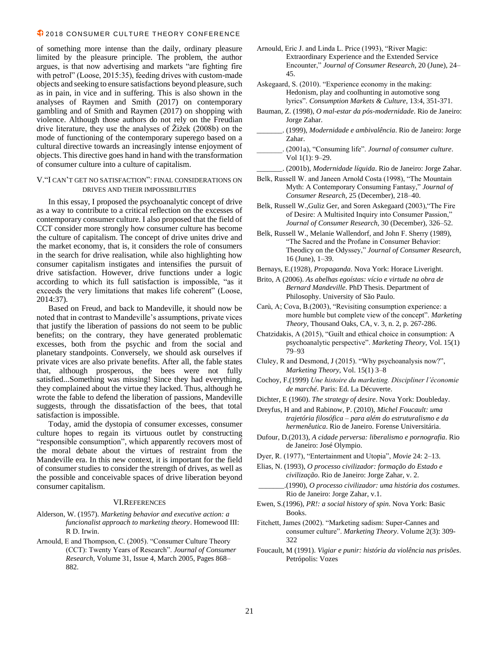of something more intense than the daily, ordinary pleasure limited by the pleasure principle. The problem, the author argues, is that now advertising and markets "are fighting fire with petrol" (Loose, 2015:35), feeding drives with custom-made objects and seeking to ensure satisfactions beyond pleasure, such as in pain, in vice and in suffering. This is also shown in the analyses of Raymen and Smith (2017) on contemporary gambling and of Smith and Raymen (2017) on shopping with violence. Although those authors do not rely on the Freudian drive literature, they use the analyses of Žižek (2008b) on the mode of functioning of the contemporary superego based on a cultural directive towards an increasingly intense enjoyment of objects. This directive goes hand in hand with the transformation of consumer culture into a culture of capitalism.

#### V."I CAN'T GET NO SATISFACTION": FINAL CONSIDERATIONS ON DRIVES AND THEIR IMPOSSIBILITIES

In this essay, I proposed the psychoanalytic concept of drive as a way to contribute to a critical reflection on the excesses of contemporary consumer culture. I also proposed that the field of CCT consider more strongly how consumer culture has become the culture of capitalism. The concept of drive unites drive and the market economy, that is, it considers the role of consumers in the search for drive realisation, while also highlighting how consumer capitalism instigates and intensifies the pursuit of drive satisfaction. However, drive functions under a logic according to which its full satisfaction is impossible, "as it exceeds the very limitations that makes life coherent" (Loose, 2014:37).

Based on Freud, and back to Mandeville, it should now be noted that in contrast to Mandeville's assumptions, private vices that justify the liberation of passions do not seem to be public benefits; on the contrary, they have generated problematic excesses, both from the psychic and from the social and planetary standpoints. Conversely, we should ask ourselves if private vices are also private benefits. After all, the fable states that, although prosperous, the bees were not fully satisfied...Something was missing! Since they had everything, they complained about the virtue they lacked. Thus, although he wrote the fable to defend the liberation of passions, Mandeville suggests, through the dissatisfaction of the bees, that total satisfaction is impossible.

Today, amid the dystopia of consumer excesses, consumer culture hopes to regain its virtuous outlet by constructing "responsible consumption", which apparently recovers most of the moral debate about the virtues of restraint from the Mandeville era. In this new context, it is important for the field of consumer studies to consider the strength of drives, as well as the possible and conceivable spaces of drive liberation beyond consumer capitalism.

#### VI.REFERENCES

- Alderson, W. (1957). *Marketing behavior and executive action: a funcionalist approach to marketing theory*. Homewood III: R D. Irwin.
- Arnould, E and Thompson, C. (2005). "Consumer Culture Theory (CCT): Twenty Years of Research". *Journal of Consumer Research*, Volume 31, Issue 4, March 2005, Pages 868– 882.
- Arnould, Eric J. and Linda L. Price (1993), "River Magic: Extraordinary Experience and the Extended Service Encounter," *Journal of Consumer Research*, 20 (June), 24– 45.
- Askegaard, S. (2010). "Experience economy in the making: Hedonism, play and coolhunting in automotive song lyrics". *Consumption Markets & Culture*, 13:4, 351-371.
- Bauman, Z. (1998), *O mal-estar da pós-modernidade*. Rio de Janeiro: Jorge Zahar.
- \_\_\_\_\_\_\_. (1999), *Modernidade e ambivalência*. Rio de Janeiro: Jorge Zahar.
- \_\_\_\_\_\_\_. (2001a), "Consuming life". *Journal of consumer culture*. Vol 1(1): 9–29.
	- \_\_\_\_\_\_\_. (2001b), *Modernidade líquida*. Rio de Janeiro: Jorge Zahar.
- Belk, Russell W. and Janeen Arnold Costa (1998), "The Mountain Myth: A Contemporary Consuming Fantasy," *Journal of Consumer Research*, 25 (December), 218–40.
- Belk, Russell W.,Guliz Ger, and Soren Askegaard (2003),"The Fire of Desire: A Multisited Inquiry into Consumer Passion," *Journal of Consumer Research*, 30 (December), 326–52.
- Belk, Russell W., Melanie Wallendorf, and John F. Sherry (1989), "The Sacred and the Profane in Consumer Behavior: Theodicy on the Odyssey," *Journal of Consumer Research*, 16 (June), 1–39.
- Bernays, E.(1928), *Propaganda*. Nova York: Horace Liveright.
- Brito, A (2006). *As abelhas egoístas: vício e virtude na obra de Bernard Mandeville*. PhD Thesis. Department of Philosophy. University of São Paulo.
- Carù, A; Cova, B.(2003), "Revisiting consumption experience: a more humble but complete view of the concept". *Marketing Theory*, Thousand Oaks, CA, v. 3, n. 2, p. 267-286.
- Chatzidakis, A (2015), "Guilt and ethical choice in consumption: A psychoanalytic perspective". *Marketing Theory*, Vol. 15(1) 79–93
- Cluley, R and Desmond, J (2015). "Why psychoanalysis now?", *Marketing Theory*, Vol. 15(1) 3–8
- Cochoy, F.(1999) *Une histoire du marketing. Discipliner l'économie de marché*. Paris: Ed. La Décuverte.
- Dichter, E (1960). *The strategy of desire*. Nova York: Doubleday.
- Dreyfus, H and and Rabinow, P. (2010), *Michel Foucault: uma trajetória filosófica – para além do estruturalismo e da hermenêutica*. Rio de Janeiro. Forense Universitária.
- Dufour, D.(2013), *A cidade perversa: liberalismo e pornografia*. Rio de Janeiro: José Olympio.
- Dyer, R. (1977), "Entertainment and Utopia", *Movie* 24: 2–13.
- Elias, N. (1993), *O processo civilizador: formação do Estado e civilização*. Rio de Janeiro: Jorge Zahar, v. 2.
- \_\_\_\_\_\_\_.(1990), *O processo civilizador: uma história dos costumes*. Rio de Janeiro: Jorge Zahar, v.1.
- Ewen, S.(1996), *PR!: a social history of spin*. Nova York: Basic Books.
- Fitchett, James (2002). "Marketing sadism: Super-Cannes and consumer culture". *Marketing Theory*. Volume 2(3): 309- 322
- Foucault, M (1991). *Vigiar e punir: história da violência nas prisões*. Petrópolis: Vozes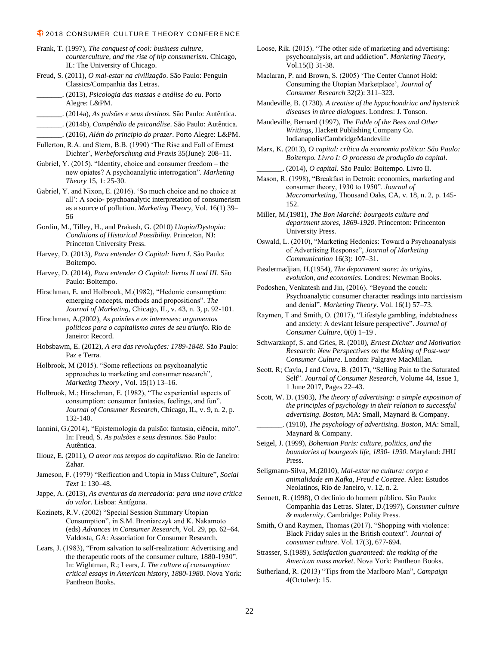- Frank, T. (1997), *The conquest of cool: business culture, counterculture, and the rise of hip consumerism*. Chicago, IL: The University of Chicago.
- Freud, S. (2011), *O mal-estar na civilização*. São Paulo: Penguin Classics/Companhia das Letras.
- \_\_\_\_\_\_\_. (2013), *Psicologia das massas e análise do eu*. Porto Alegre: L&PM.

\_\_\_\_\_\_\_. (2014a), *As pulsões e seus destinos*. São Paulo: Autêntica.

- \_\_\_\_\_\_\_. (2014b), *Compêndio de psicanálise*. São Paulo: Autêntica.
- \_\_\_\_\_\_\_. (2016), *Além do principio do prazer*. Porto Alegre: L&PM.
- Fullerton, R.A. and Stern, B.B. (1990) 'The Rise and Fall of Ernest Dichter', *Werbeforschung and Praxis* 35(June): 208–11.
- Gabriel, Y. (2015). "Identity, choice and consumer freedom the new opiates? A psychoanalytic interrogation". *Marketing Theory* 15, 1: 25-30.
- Gabriel, Y. and Nixon, E. (2016). 'So much choice and no choice at all': A socio- psychoanalytic interpretation of consumerism as a source of pollution. *Marketing Theory*, Vol. 16(1) 39– 56
- Gordin, M., Tilley, H., and Prakash, G. (2010) *Utopia/Dystopia: Conditions of Historical Possibility*. Princeton, NJ: Princeton University Press.
- Harvey, D. (2013), *Para entender O Capital: livro I*. São Paulo: Boitempo.
- Harvey, D. (2014), *Para entender O Capital: livros II and III*. São Paulo: Boitempo.
- Hirschman, E. and Holbrook, M.(1982), "Hedonic consumption: emerging concepts, methods and propositions". *The Journal of Marketing*, Chicago, IL, v. 43, n. 3, p. 92-101.
- Hirschman, A.(2002), *As paixões e os interesses: argumentos políticos para o capitalismo antes de seu triunfo*. Rio de Janeiro: Record.
- Hobsbawm, E. (2012), *A era das revoluções: 1789-1848*. São Paulo: Paz e Terra.
- Holbrook, M (2015). "Some reflections on psychoanalytic approaches to marketing and consumer research", *Marketing Theory* , Vol. 15(1) 13–16.
- Holbrook, M.; Hirschman, E. (1982), "The experiential aspects of consumption: consumer fantasies, feelings, and fun". *Journal of Consumer Research*, Chicago, IL, v. 9, n. 2, p. 132-140.
- Iannini, G.(2014), "Epistemologia da pulsão: fantasia, ciência, mito". In: Freud, S. *As pulsões e seus destinos*. São Paulo: Autêntica.
- Illouz, E. (2011), *O amor nos tempos do capitalismo*. Rio de Janeiro: Zahar.
- Jameson, F. (1979) "Reification and Utopia in Mass Culture", *Social Text* 1: 130–48.
- Jappe, A. (2013), *As aventuras da mercadoria: para uma nova crítica do valor*. Lisboa: Antígona.
- Kozinets, R.V. (2002) "Special Session Summary Utopian Consumption", in S.M. Broniarczyk and K. Nakamoto (eds) *Advances in Consumer Research*, Vol. 29, pp. 62–64. Valdosta, GA: Association for Consumer Research.
- Lears, J. (1983), "From salvation to self-realization: Advertising and the therapeutic roots of the consumer culture, 1880-1930". In: Wightman, R.; Lears, J. *The culture of consumption: critical essays in American history, 1880-1980*. Nova York: Pantheon Books.
- Loose, Rik. (2015). "The other side of marketing and advertising: psychoanalysis, art and addiction". *Marketing Theory*, Vol.15(I) 31-38.
- Maclaran, P. and Brown, S. (2005) 'The Center Cannot Hold: Consuming the Utopian Marketplace', *Journal of Consumer Research* 32(2): 311–323.
- Mandeville, B. (1730). *A treatise of the hypochondriac and hysterick diseases in three dialogues*. Londres: J. Tonson.
- Mandeville, Bernard (1997), *The Fable of the Bees and Other Writings*, Hackett Publishing Company Co. Indianapolis/CambridgeMandeville
- Marx, K. (2013), *O capital: crítica da economia política: São Paulo: Boitempo. Livro I: O processo de produção do capital*. \_\_\_\_\_\_\_. (2014), *O capital*. São Paulo: Boitempo. Livro II.
- Mason, R. (1998), "Breakfast in Detroit: economics, marketing and consumer theory, 1930 to 1950". *Journal of Macromarketing*, Thousand Oaks, CA, v. 18, n. 2, p. 145- 152.
- Miller, M.(1981), *The Bon Marché: bourgeois culture and department stores, 1869-1920*. Princenton: Princenton University Press.
- Oswald, L. (2010), "Marketing Hedonics: Toward a Psychoanalysis of Advertising Response", *Journal of Marketing Communication* 16(3): 107–31.
- Pasdermadjian, H.(1954), *The department store: its origins, evolution, and economics*. Londres: Newman Books.
- Podoshen, Venkatesh and Jin, (2016). "Beyond the couch: Psychoanalytic consumer character readings into narcissism and denial". *Marketing Theory*. Vol. 16(1) 57–73.
- Raymen, T and Smith, O. (2017), "Lifestyle gambling, indebtedness and anxiety: A deviant leisure perspective". *Journal of Consumer Culture*, 0(0) 1–19 .
- Schwarzkopf, S. and Gries, R. (2010), *Ernest Dichter and Motivation Research: New Perspectives on the Making of Post-war Consumer Culture*. London: Palgrave MacMillan.
- Scott, R; Cayla, J and Cova, B. (2017), "Selling Pain to the Saturated Self". *Journal of Consumer Research*, Volume 44, Issue 1, 1 June 2017, Pages 22–43.
- Scott, W. D. (1903), *The theory of advertising: a simple exposition of the principles of psychology in their relation to successful advertising. Boston*, MA: Small, Maynard & Company.
- \_\_\_\_\_\_\_. (1910), *The psychology of advertising. Boston*, MA: Small, Maynard & Company.
- Seigel, J. (1999), *Bohemian Paris: culture, politics, and the boundaries of bourgeois life, 1830- 1930*. Maryland: JHU Press.
- Seligmann-Silva, M.(2010), *Mal-estar na cultura: corpo e animalidade em Kafka, Freud e Coetzee*. Alea: Estudos Neolatinos, Rio de Janeiro, v. 12, n. 2.
- Sennett, R. (1998), O declínio do homem público. São Paulo: Companhia das Letras. Slater, D.(1997), *Consumer culture & modernity*. Cambridge: Polity Press.
- Smith, O and Raymen, Thomas (2017). "Shopping with violence: Black Friday sales in the British context". *Journal of consumer culture*. Vol. 17(3), 677-694.
- Strasser, S.(1989), *Satisfaction guaranteed: the making of the American mass market*. Nova York: Pantheon Books.
- Sutherland, R. (2013) "Tips from the Marlboro Man", *Campaign* 4(October): 15.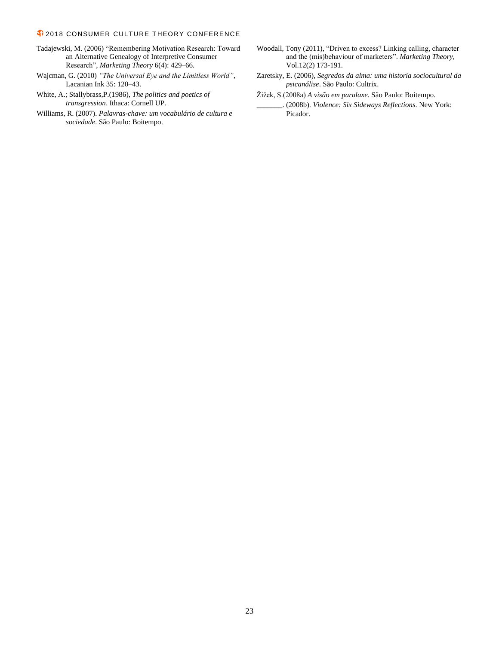- Tadajewski, M. (2006) "Remembering Motivation Research: Toward an Alternative Genealogy of Interpretive Consumer Research", *Marketing Theory* 6(4): 429–66.
- Wajcman, G. (2010) *"The Universal Eye and the Limitless World"*, Lacanian Ink 35: 120–43.
- White, A.; Stallybrass,P.(1986), *The politics and poetics of transgression*. Ithaca: Cornell UP.
- Williams, R. (2007). *Palavras-chave: um vocabulário de cultura e sociedade*. São Paulo: Boitempo.
- Woodall, Tony (2011), "Driven to excess? Linking calling, character and the (mis)behaviour of marketers". *Marketing Theory*, Vol.12(2) 173-191.
- Zaretsky, E. (2006), *Segredos da alma: uma historia sociocultural da psicanálise*. São Paulo: Cultrix.
- Žižek, S.(2008a) *A visão em paralaxe*. São Paulo: Boitempo.
- \_\_\_\_\_\_\_. (2008b). *Violence: Six Sideways Reflections*. New York: Picador.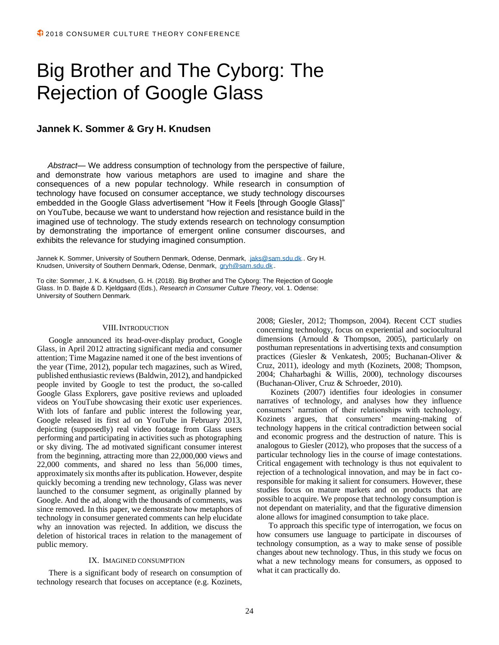# Big Brother and The Cyborg: The Rejection of Google Glass

### **Jannek K. Sommer & Gry H. Knudsen**

*Abstract*— We address consumption of technology from the perspective of failure, and demonstrate how various metaphors are used to imagine and share the consequences of a new popular technology. While research in consumption of technology have focused on consumer acceptance, we study technology discourses embedded in the Google Glass advertisement "How it Feels [through Google Glass]" on YouTube, because we want to understand how rejection and resistance build in the imagined use of technology. The study extends research on technology consumption by demonstrating the importance of emergent online consumer discourses, and exhibits the relevance for studying imagined consumption.

Jannek K. Sommer, University of Southern Denmark, Odense, Denmark, *18Ks@sam.sdu.dk.* Gry H. Knudsen, University of Southern Denmark, Odense, Denmark, [gryh@sam.sdu.dk](mailto:gryh@sam.sdu.dk).

To cite: Sommer, J. K. & Knudsen, G. H. (2018). Big Brother and The Cyborg: The Rejection of Google Glass. In D. Bajde & D. Kjeldgaard (Eds.), *Research in Consumer Culture Theory*, vol. 1. Odense: University of Southern Denmark.

#### VIII. INTRODUCTION

Google announced its head-over-display product, Google Glass, in April 2012 attracting significant media and consumer attention; Time Magazine named it one of the best inventions of the year (Time, 2012), popular tech magazines, such as Wired, published enthusiastic reviews (Baldwin, 2012), and handpicked people invited by Google to test the product, the so-called Google Glass Explorers, gave positive reviews and uploaded videos on YouTube showcasing their exotic user experiences. With lots of fanfare and public interest the following year, Google released its first ad on YouTube in February 2013, depicting (supposedly) real video footage from Glass users performing and participating in activities such as photographing or sky diving. The ad motivated significant consumer interest from the beginning, attracting more than 22,000,000 views and 22,000 comments, and shared no less than 56,000 times, approximately six months after its publication. However, despite quickly becoming a trending new technology, Glass was never launched to the consumer segment, as originally planned by Google. And the ad, along with the thousands of comments, was since removed. In this paper, we demonstrate how metaphors of technology in consumer generated comments can help elucidate why an innovation was rejected. In addition, we discuss the deletion of historical traces in relation to the management of public memory.

#### IX. IMAGINED CONSUMPTION

There is a significant body of research on consumption of technology research that focuses on acceptance (e.g. Kozinets,

2008; Giesler, 2012; Thompson, 2004). Recent CCT studies concerning technology, focus on experiential and sociocultural dimensions (Arnould & Thompson, 2005), particularly on posthuman representations in advertising texts and consumption practices (Giesler & Venkatesh, 2005; Buchanan-Oliver & Cruz, 2011), ideology and myth (Kozinets, 2008; Thompson, 2004; Chaharbaghi & Willis, 2000), technology discourses (Buchanan-Oliver, Cruz & Schroeder, 2010).

Kozinets (2007) identifies four ideologies in consumer narratives of technology, and analyses how they influence consumers' narration of their relationships with technology. Kozinets argues, that consumers' meaning-making of technology happens in the critical contradiction between social and economic progress and the destruction of nature. This is analogous to Giesler (2012), who proposes that the success of a particular technology lies in the course of image contestations. Critical engagement with technology is thus not equivalent to rejection of a technological innovation, and may be in fact coresponsible for making it salient for consumers. However, these studies focus on mature markets and on products that are possible to acquire. We propose that technology consumption is not dependant on materiality, and that the figurative dimension alone allows for imagined consumption to take place.

To approach this specific type of interrogation, we focus on how consumers use language to participate in discourses of technology consumption, as a way to make sense of possible changes about new technology. Thus, in this study we focus on what a new technology means for consumers, as opposed to what it can practically do.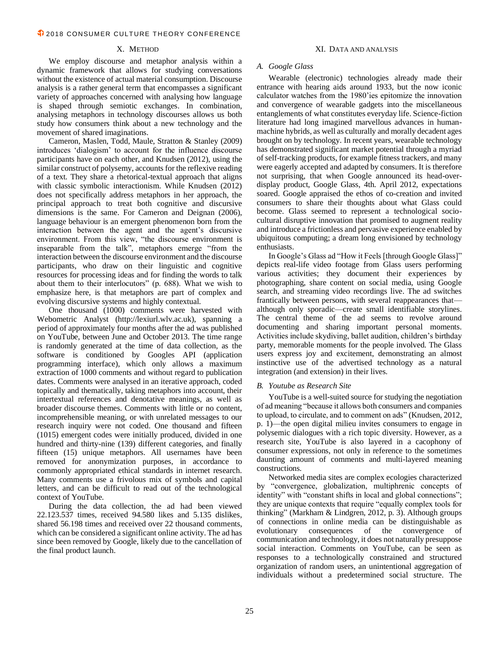#### X. METHOD

We employ discourse and metaphor analysis within a dynamic framework that allows for studying conversations without the existence of actual material consumption. Discourse analysis is a rather general term that encompasses a significant variety of approaches concerned with analysing how language is shaped through semiotic exchanges. In combination, analysing metaphors in technology discourses allows us both study how consumers think about a new technology and the movement of shared imaginations.

Cameron, Maslen, Todd, Maule, Stratton & Stanley (2009) introduces 'dialogism' to account for the influence discourse participants have on each other, and Knudsen (2012), using the similar construct of polysemy, accounts for the reflexive reading of a text. They share a rhetorical-textual approach that aligns with classic symbolic interactionism. While Knudsen (2012) does not specifically address metaphors in her approach, the principal approach to treat both cognitive and discursive dimensions is the same. For Cameron and Deignan (2006), language behaviour is an emergent phenomenon born from the interaction between the agent and the agent's discursive environment. From this view, "the discourse environment is inseparable from the talk", metaphors emerge "from the interaction between the discourse environment and the discourse participants, who draw on their linguistic and cognitive resources for processing ideas and for finding the words to talk about them to their interlocutors" (p. 688). What we wish to emphasize here, is that metaphors are part of complex and evolving discursive systems and highly contextual.

One thousand (1000) comments were harvested with Webometric Analyst (http://lexiurl.wlv.ac.uk), spanning a period of approximately four months after the ad was published on YouTube, between June and October 2013. The time range is randomly generated at the time of data collection, as the software is conditioned by Googles API (application programming interface), which only allows a maximum extraction of 1000 comments and without regard to publication dates. Comments were analysed in an iterative approach, coded topically and thematically, taking metaphors into account, their intertextual references and denotative meanings, as well as broader discourse themes. Comments with little or no content, incomprehensible meaning, or with unrelated messages to our research inquiry were not coded. One thousand and fifteen (1015) emergent codes were initially produced, divided in one hundred and thirty-nine (139) different categories, and finally fifteen (15) unique metaphors. All usernames have been removed for anonymization purposes, in accordance to commonly appropriated ethical standards in internet research. Many comments use a frivolous mix of symbols and capital letters, and can be difficult to read out of the technological context of YouTube.

During the data collection, the ad had been viewed 22.123.537 times, received 94.580 likes and 5.135 dislikes, shared 56.198 times and received over 22 thousand comments, which can be considered a significant online activity. The ad has since been removed by Google, likely due to the cancellation of the final product launch.

#### XI. DATA AND ANALYSIS

#### *A. Google Glass*

Wearable (electronic) technologies already made their entrance with hearing aids around 1933, but the now iconic calculator watches from the 1980'ies epitomize the innovation and convergence of wearable gadgets into the miscellaneous entanglements of what constitutes everyday life. Science-fiction literature had long imagined marvellous advances in humanmachine hybrids, as well as culturally and morally decadent ages brought on by technology. In recent years, wearable technology has demonstrated significant market potential through a myriad of self-tracking products, for example fitness trackers, and many were eagerly accepted and adapted by consumers. It is therefore not surprising, that when Google announced its head-overdisplay product, Google Glass, 4th. April 2012, expectations soared. Google appraised the ethos of co-creation and invited consumers to share their thoughts about what Glass could become. Glass seemed to represent a technological sociocultural disruptive innovation that promised to augment reality and introduce a frictionless and pervasive experience enabled by ubiquitous computing; a dream long envisioned by technology enthusiasts.

In Google's Glass ad "How it Feels [through Google Glass]" depicts real-life video footage from Glass users performing various activities; they document their experiences by photographing, share content on social media, using Google search, and streaming video recordings live. The ad switches frantically between persons, with several reappearances that although only sporadic—create small identifiable storylines. The central theme of the ad seems to revolve around documenting and sharing important personal moments. Activities include skydiving, ballet audition, children's birthday party, memorable moments for the people involved. The Glass users express joy and excitement, demonstrating an almost instinctive use of the advertised technology as a natural integration (and extension) in their lives.

#### *B. Youtube as Research Site*

YouTube is a well-suited source for studying the negotiation of ad meaning "because it allows both consumers and companies to upload, to circulate, and to comment on ads" (Knudsen, 2012, p. 1)—the open digital milieu invites consumers to engage in polysemic dialogues with a rich topic diversity. However, as a research site, YouTube is also layered in a cacophony of consumer expressions, not only in reference to the sometimes daunting amount of comments and multi-layered meaning constructions.

Networked media sites are complex ecologies characterized by "convergence, globalization, multiphrenic concepts of identity" with "constant shifts in local and global connections"; they are unique contexts that require "equally complex tools for thinking" (Markham & Lindgren, 2012, p. 3). Although groups of connections in online media can be distinguishable as evolutionary consequences of the convergence of communication and technology, it does not naturally presuppose social interaction. Comments on YouTube, can be seen as responses to a technologically constrained and structured organization of random users, an unintentional aggregation of individuals without a predetermined social structure. The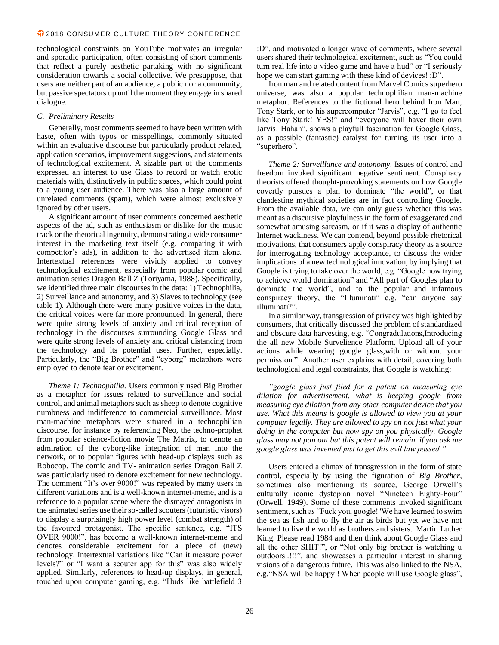technological constraints on YouTube motivates an irregular and sporadic participation, often consisting of short comments that reflect a purely aesthetic partaking with no significant consideration towards a social collective. We presuppose, that users are neither part of an audience, a public nor a community, but passive spectators up until the moment they engage in shared dialogue.

#### *C. Preliminary Results*

Generally, most comments seemed to have been written with haste, often with typos or misspellings, commonly situated within an evaluative discourse but particularly product related, application scenarios, improvement suggestions, and statements of technological excitement. A sizable part of the comments expressed an interest to use Glass to record or watch erotic materials with, distinctively in public spaces, which could point to a young user audience. There was also a large amount of unrelated comments (spam), which were almost exclusively ignored by other users.

A significant amount of user comments concerned aesthetic aspects of the ad, such as enthusiasm or dislike for the music track or the rhetorical ingenuity, demonstrating a wide consumer interest in the marketing text itself (e.g. comparing it with competitor's ads), in addition to the advertised item alone. Intertextual references were vividly applied to convey technological excitement, especially from popular comic and animation series Dragon Ball Z (Toriyama, 1988). Specifically, we identified three main discourses in the data: 1) Technophilia, 2) Surveillance and autonomy, and 3) Slaves to technology (see table 1). Although there were many positive voices in the data, the critical voices were far more pronounced. In general, there were quite strong levels of anxiety and critical reception of technology in the discourses surrounding Google Glass and were quite strong levels of anxiety and critical distancing from the technology and its potential uses. Further, especially. Particularly, the "Big Brother" and "cyborg" metaphors were employed to denote fear or excitement.

*Theme 1: Technophilia.* Users commonly used Big Brother as a metaphor for issues related to surveillance and social control, and animal metaphors such as sheep to denote cognitive numbness and indifference to commercial surveillance. Most man-machine metaphors were situated in a technophilian discourse, for instance by referencing Neo, the techno-prophet from popular science-fiction movie The Matrix, to denote an admiration of the cyborg-like integration of man into the network, or to popular figures with head-up displays such as Robocop. The comic and TV- animation series Dragon Ball Z was particularly used to denote excitement for new technology. The comment "It's over 9000!" was repeated by many users in different variations and is a well-known internet-meme, and is a reference to a popular scene where the dismayed antagonists in the animated series use their so-called scouters (futuristic visors) to display a surprisingly high power level (combat strength) of the favoured protagonist. The specific sentence, e.g. "ITS OVER 9000!", has become a well-known internet-meme and denotes considerable excitement for a piece of (new) technology. Intertextual variations like "Can it measure power levels?" or "I want a scouter app for this" was also widely applied. Similarly, references to head-up displays, in general, touched upon computer gaming, e.g. "Huds like battlefield 3

:D", and motivated a longer wave of comments, where several users shared their technological excitement, such as "You could turn real life into a video game and have a hud" or "I seriously hope we can start gaming with these kind of devices! :D".

Iron man and related content from Marvel Comics superhero universe, was also a popular technophilian man-machine metaphor. References to the fictional hero behind Iron Man, Tony Stark, or to his supercomputer "Jarvis", e.g. "I go to feel like Tony Stark! YES!" and "everyone will haver their own Jarvis! Hahah", shows a playfull fascination for Google Glass, as a possible (fantastic) catalyst for turning its user into a "superhero".

*Theme 2: Surveillance and autonomy.* Issues of control and freedom invoked significant negative sentiment. Conspiracy theorists offered thought-provoking statements on how Google covertly pursues a plan to dominate "the world", or that clandestine mythical societies are in fact controlling Google. From the available data, we can only guess whether this was meant as a discursive playfulness in the form of exaggerated and somewhat amusing sarcasm, or if it was a display of authentic Internet wackiness. We can contend, beyond possible rhetorical motivations, that consumers apply conspiracy theory as a source for interrogating technology acceptance, to discuss the wider implications of a new technological innovation, by implying that Google is trying to take over the world, e.g. "Google now trying to achieve world domination" and "All part of Googles plan to dominate the world", and to the popular and infamous conspiracy theory, the "Illuminati" e.g. "can anyone say illuminati?".

In a similar way, transgression of privacy was highlighted by consumers, that critically discussed the problem of standardized and obscure data harvesting, e.g. "Congradulations,Introducing the all new Mobile Survelience Platform. Upload all of your actions while wearing google glass,with or without your permission.". Another user explains with detail, covering both technological and legal constraints, that Google is watching:

*"google glass just filed for a patent on measuring eye dilation for advertisement. what is keeping google from measuring eye dilation from any other computer device that you use. What this means is google is allowed to view you at your computer legally. They are allowed to spy on not just what your doing in the computer but now spy on you physically. Google glass may not pan out but this patent will remain. if you ask me google glass was invented just to get this evil law passed."*

Users entered a climax of transgression in the form of state control, especially by using the figuration of *Big Brother*, sometimes also mentioning its source, George Orwell's culturally iconic dystopian novel "Nineteen Eighty-Four" (Orwell, 1949). Some of these comments invoked significant sentiment, such as "Fuck you, google! 'We have learned to swim the sea as fish and to fly the air as birds but yet we have not learned to live the world as brothers and sisters.' Martin Luther King. Please read 1984 and then think about Google Glass and all the other SHIT!", or "Not only big brother is watching u outdoors..!!!", and showcases a particular interest in sharing visions of a dangerous future. This was also linked to the NSA, e.g."NSA will be happy ! When people will use Google glass",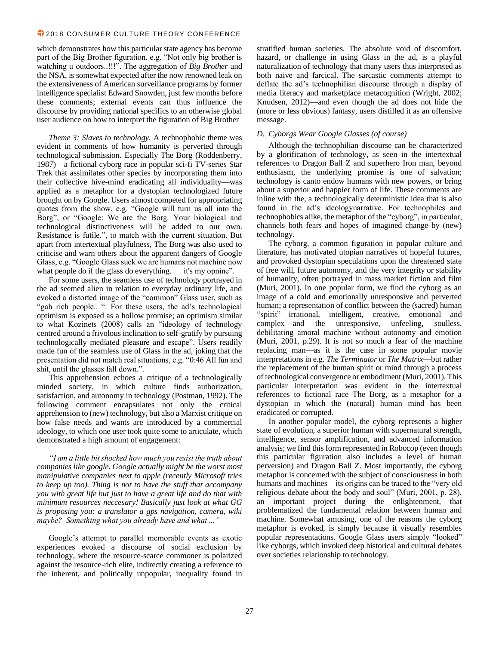which demonstrates how this particular state agency has become part of the Big Brother figuration, e.g. "Not only big brother is watching u outdoors..!!!". The aggregation of *Big Brother* and the NSA, is somewhat expected after the now renowned leak on the extensiveness of American surveillance programs by former intelligence specialist Edward Snowden, just few months before these comments; external events can thus influence the discourse by providing national specifics to an otherwise global user audience on how to interpret the figuration of Big Brother

*Theme 3: Slaves to technology.* A technophobic theme was evident in comments of how humanity is perverted through technological submission. Especially The Borg (Roddenberry, 1987)—a fictional cyborg race in popular sci-fi TV-series Star Trek that assimilates other species by incorporating them into their collective hive-mind eradicating all individuality—was applied as a metaphor for a dystopian technologized future brought on by Google. Users almost competed for appropriating quotes from the show, e.g. "Google will turn us all into the Borg", or "Google: We are the Borg. Your biological and technological distinctiveness will be added to our own. Resistance is futile.", to match with the current situation. But apart from intertextual playfulness, The Borg was also used to criticise and warn others about the apparent dangers of Google Glass, e.g. "Google Glass suck we are humans not machine now what people do if the glass do everything. it's my opnine".

For some users, the seamless use of technology portrayed in the ad seemed alien in relation to everyday ordinary life, and evoked a distorted image of the "common" Glass user, such as "gah rich people.. ". For these users, the ad's technological optimism is exposed as a hollow promise; an optimism similar to what Kozinets (2008) calls an "ideology of technology centred around a frivolous inclination to self-gratify by pursuing technologically mediated pleasure and escape". Users readily made fun of the seamless use of Glass in the ad, joking that the presentation did not match real situations, e.g. "0:46 All fun and shit, until the glasses fall down.".

This apprehension echoes a critique of a technologically minded society, in which culture finds authorization, satisfaction, and autonomy in technology (Postman, 1992). The following comment encapsulates not only the critical apprehension to (new) technology, but also a Marxist critique on how false needs and wants are introduced by a commercial ideology, to which one user took quite some to articulate, which demonstrated a high amount of engagement:

*"I am a little bit shocked how much you resist the truth about companies like google. Google actually might be the worst most manipulative companies next to apple (recently Microsoft tries to keep up too). Thing is not to have the stuff that accompany you with great life but just to have a great life and do that with minimum resources neccesary! Basically just look at what GG is proposing you: a translator a gps navigation, camera, wiki maybe? Something what you already have and what ..."*

Google's attempt to parallel memorable events as exotic experiences evoked a discourse of social exclusion by technology, where the resource-scarce commoner is polarized against the resource-rich elite, indirectly creating a reference to the inherent, and politically unpopular, inequality found in

stratified human societies. The absolute void of discomfort, hazard, or challenge in using Glass in the ad, is a playful naturalization of technology that many users thus interpreted as both naive and farcical. The sarcastic comments attempt to deflate the ad's technophilian discourse through a display of media literacy and marketplace metacognition (Wright, 2002; Knudsen, 2012)—and even though the ad does not hide the (more or less obvious) fantasy, users distilled it as an offensive message.

#### *D. Cyborgs Wear Google Glasses (of course)*

Although the technophilian discourse can be characterized by a glorification of technology, as seen in the intertextual references to Dragon Ball Z and superhero Iron man, beyond enthusiasm, the underlying promise is one of salvation; technology is canto endow humans with new powers, or bring about a superior and happier form of life. These comments are inline with the, a technologically deterministic idea that is also found in the ad's ideologynarrative. For technophiles and technophobics alike, the metaphor of the "cyborg", in particular, channels both fears and hopes of imagined change by (new) technology.

The cyborg, a common figuration in popular culture and literature, has motivated utopian narratives of hopeful futures, and provoked dystopian speculations upon the threatened state of free will, future autonomy, and the very integrity or stability of humanity, often portrayed in mass market fiction and film (Muri, 2001). In one popular form, we find the cyborg as an image of a cold and emotionally unresponsive and perverted human; a representation of conflict between the (sacred) human "spirit"—irrational, intelligent, creative, emotional and complex—and the unresponsive, unfeeling, soulless, debilitating amoral machine without autonomy and emotion (Muri, 2001, p.29). It is not so much a fear of the machine replacing man—as it is the case in some popular movie interpretations in e.g. *The Terminator* or *The Matrix*—but rather the replacement of the human spirit or mind through a process of technological convergence or embodiment (Muri, 2001). This particular interpretation was evident in the intertextual references to fictional race The Borg, as a metaphor for a dystopian in which the (natural) human mind has been eradicated or corrupted.

In another popular model, the cyborg represents a higher state of evolution, a superior human with supernatural strength, intelligence, sensor amplification, and advanced information analysis; we find this form represented in Robocop (even though this particular figuration also includes a level of human perversion) and Dragon Ball Z. Most importantly, the cyborg metaphor is concerned with the subject of consciousness in both humans and machines—its origins can be traced to the "very old religious debate about the body and soul" (Muri, 2001, p. 28), an important project during the enlightenment, that problematized the fundamental relation between human and machine. Somewhat amusing, one of the reasons the cyborg metaphor is evoked, is simply because it visually resembles popular representations. Google Glass users simply "looked" like cyborgs, which invoked deep historical and cultural debates over societies relationship to technology.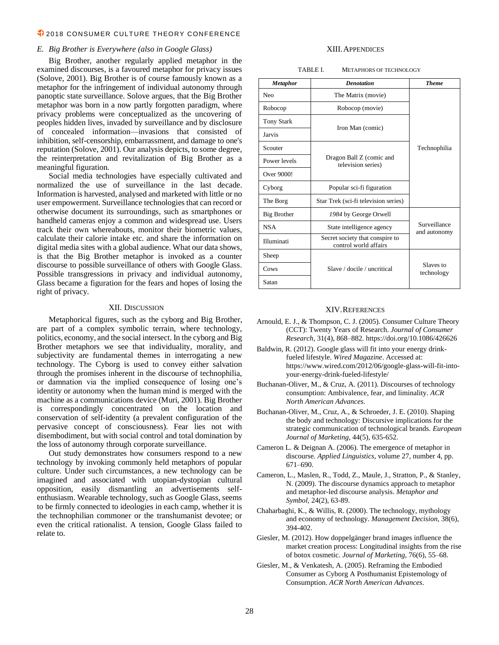#### *E. Big Brother is Everywhere (also in Google Glass)*

Big Brother, another regularly applied metaphor in the examined discourses, is a favoured metaphor for privacy issues (Solove, 2001). Big Brother is of course famously known as a metaphor for the infringement of individual autonomy through panoptic state surveillance. Solove argues, that the Big Brother metaphor was born in a now partly forgotten paradigm, where privacy problems were conceptualized as the uncovering of peoples hidden lives, invaded by surveillance and by disclosure of concealed information—invasions that consisted of inhibition, self-censorship, embarrassment, and damage to one's reputation (Solove, 2001). Our analysis depicts, to some degree, the reinterpretation and revitalization of Big Brother as a meaningful figuration.

Social media technologies have especially cultivated and normalized the use of surveillance in the last decade. Information is harvested, analysed and marketed with little or no user empowerment. Surveillance technologies that can record or otherwise document its surroundings, such as smartphones or handheld cameras enjoy a common and widespread use. Users track their own whereabouts, monitor their biometric values, calculate their calorie intake etc. and share the information on digital media sites with a global audience. What our data shows, is that the Big Brother metaphor is invoked as a counter discourse to possible surveillance of others with Google Glass. Possible transgressions in privacy and individual autonomy, Glass became a figuration for the fears and hopes of losing the right of privacy.

#### XII. DISCUSSION

Metaphorical figures, such as the cyborg and Big Brother, are part of a complex symbolic terrain, where technology, politics, economy, and the social intersect. In the cyborg and Big Brother metaphors we see that individuality, morality, and subjectivity are fundamental themes in interrogating a new technology. The Cyborg is used to convey either salvation through the promises inherent in the discourse of technophilia, or damnation via the implied consequence of losing one's identity or autonomy when the human mind is merged with the machine as a communications device (Muri, 2001). Big Brother is correspondingly concentrated on the location and conservation of self-identity (a prevalent configuration of the pervasive concept of consciousness). Fear lies not with disembodiment, but with social control and total domination by the loss of autonomy through corporate surveillance.

Out study demonstrates how consumers respond to a new technology by invoking commonly held metaphors of popular culture. Under such circumstances, a new technology can be imagined and associated with utopian-dystopian cultural opposition, easily dismantling an advertisements selfenthusiasm. Wearable technology, such as Google Glass, seems to be firmly connected to ideologies in each camp, whether it is the technophilian commoner or the transhumanist devotee; or even the critical rationalist. A tension, Google Glass failed to relate to.

#### XIII.APPENDICES

|  | TABLE I. | <b>METAPHORS OF TECHNOLOGY</b> |
|--|----------|--------------------------------|
|--|----------|--------------------------------|

| <b>Metaphor</b>   | <b>Denotation</b>                                        | <b>Theme</b>                 |
|-------------------|----------------------------------------------------------|------------------------------|
| <b>Neo</b>        | The Matrix (movie)                                       |                              |
| Robocop           | Robocop (movie)                                          |                              |
| <b>Tony Stark</b> |                                                          |                              |
| Jarvis            | Iron Man (comic)                                         |                              |
| Scouter           |                                                          | Technophilia                 |
| Power levels      | Dragon Ball Z (comic and<br>television series)           |                              |
| Over 9000!        |                                                          |                              |
| Cyborg            | Popular sci-fi figuration                                |                              |
| The Borg          | Star Trek (sci-fi television series)                     |                              |
| Big Brother       | 1984 by George Orwell                                    | Surveillance<br>and autonomy |
| <b>NSA</b>        | State intelligence agency                                |                              |
| Illuminati        | Secret society that conspire to<br>control world affairs |                              |
| Sheep             |                                                          | Slaves to<br>technology      |
| Cows              | Slave / docile / uncritical                              |                              |
| Satan             |                                                          |                              |

#### XIV.REFERENCES

- Arnould, E. J., & Thompson, C. J. (2005). Consumer Culture Theory (CCT): Twenty Years of Research. *Journal of Consumer Research*, 31(4), 868–882. https://doi.org/10.1086/426626
- Baldwin, R. (2012). Google glass will fit into your energy drinkfueled lifestyle. *Wired Magazine*. Accessed at: https://www.wired.com/2012/06/google-glass-will-fit-intoyour-energy-drink-fueled-lifestyle/
- Buchanan-Oliver, M., & Cruz, A. (2011). Discourses of technology consumption: Ambivalence, fear, and liminality. *ACR North American Advances*.
- Buchanan-Oliver, M., Cruz, A., & Schroeder, J. E. (2010). Shaping the body and technology: Discursive implications for the strategic communication of technological brands. *European Journal of Marketing*, 44(5), 635-652.
- Cameron L. & Deignan A. (2006). The emergence of metaphor in discourse. *Applied Linguistics*, volume 27, number 4, pp. 671–690.
- Cameron, L., Maslen, R., Todd, Z., Maule, J., Stratton, P., & Stanley, N. (2009). The discourse dynamics approach to metaphor and metaphor-led discourse analysis. *Metaphor and Symbol*, 24(2), 63-89.
- Chaharbaghi, K., & Willis, R. (2000). The technology, mythology and economy of technology. *Management Decision*, 38(6), 394-402.
- Giesler, M. (2012). How doppelgänger brand images influence the market creation process: Longitudinal insights from the rise of botox cosmetic. *Journal of Marketing*, 76(6), 55–68.
- Giesler, M., & Venkatesh, A. (2005). Reframing the Embodied Consumer as Cyborg A Posthumanist Epistemology of Consumption. *ACR North American Advances*.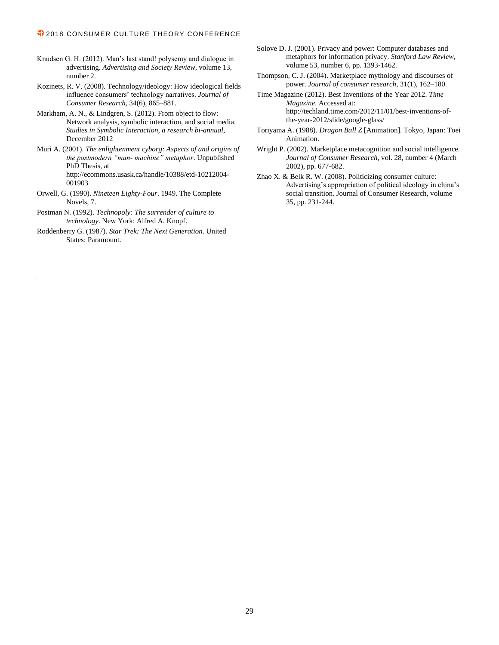- Knudsen G. H. (2012). Man's last stand! polysemy and dialogue in advertising. *Advertising and Society Review*, volume 13, number 2.
- Kozinets, R. V. (2008). Technology/ideology: How ideological fields influence consumers' technology narratives. *Journal of Consumer Research*, 34(6), 865–881.
- Markham, A. N., & Lindgren, S. (2012). From object to flow: Network analysis, symbolic interaction, and social media. *Studies in Symbolic Interaction, a research bi-annual*, December 2012
- Muri A. (2001). *The enlightenment cyborg: Aspects of and origins of the postmodern "man- machine" metaphor*. Unpublished PhD Thesis, at http://ecommons.usask.ca/handle/10388/etd-10212004- 001903
- Orwell, G. (1990). *Nineteen Eighty-Four*. 1949. The Complete Novels, 7.
- Postman N. (1992). *Technopoly: The surrender of culture to technology*. New York: Alfred A. Knopf.
- Roddenberry G. (1987). *Star Trek: The Next Generation*. United States: Paramount.
- Solove D. J. (2001). Privacy and power: Computer databases and metaphors for information privacy. *Stanford Law Review*, volume 53, number 6, pp. 1393-1462.
- Thompson, C. J. (2004). Marketplace mythology and discourses of power. *Journal of consumer research*, 31(1), 162–180.
- Time Magazine (2012). Best Inventions of the Year 2012. *Time Magazine*. Accessed at: http://techland.time.com/2012/11/01/best-inventions-ofthe-year-2012/slide/google-glass/
- Toriyama A. (1988). *Dragon Ball Z* [Animation]. Tokyo, Japan: Toei Animation.
- Wright P. (2002). Marketplace metacognition and social intelligence. *Journal of Consumer Research*, vol. 28, number 4 (March 2002), pp. 677-682.
- Zhao X. & Belk R. W. (2008). Politicizing consumer culture: Advertising's appropriation of political ideology in china's social transition. Journal of Consumer Research, volume 35, pp. 231-244.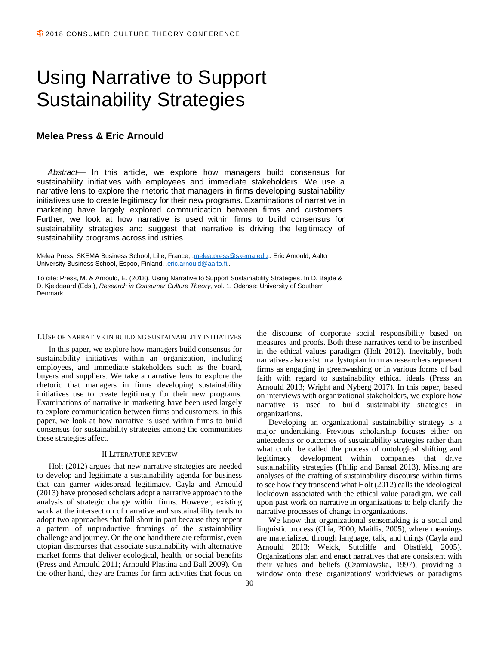# Using Narrative to Support Sustainability Strategies

### **Melea Press & Eric Arnould**

*Abstract*— In this article, we explore how managers build consensus for sustainability initiatives with employees and immediate stakeholders. We use a narrative lens to explore the rhetoric that managers in firms developing sustainability initiatives use to create legitimacy for their new programs. Examinations of narrative in marketing have largely explored communication between firms and customers. Further, we look at how narrative is used within firms to build consensus for sustainability strategies and suggest that narrative is driving the legitimacy of sustainability programs across industries.

Melea Press, SKEMA Business School, Lille, France, [melea.press@skema.edu](mailto:melea.press@skema.edu).. Eric Arnould, Aalto University Business School, Espoo, Finland, [eric.arnould@aalto.fi](mailto:eric.arnould@aalto.fi).

To cite: Press, M. & Arnould, E. (2018). Using Narrative to Support Sustainability Strategies. In D. Bajde & D. Kjeldgaard (Eds.), *Research in Consumer Culture Theory*, vol. 1. Odense: University of Southern Denmark.

#### I.USE OF NARRATIVE IN BUILDING SUSTAINABILITY INITIATIVES

In this paper, we explore how managers build consensus for sustainability initiatives within an organization, including employees, and immediate stakeholders such as the board, buyers and suppliers. We take a narrative lens to explore the rhetoric that managers in firms developing sustainability initiatives use to create legitimacy for their new programs. Examinations of narrative in marketing have been used largely to explore communication between firms and customers; in this paper, we look at how narrative is used within firms to build consensus for sustainability strategies among the communities these strategies affect.

#### II.LITERATURE REVIEW

Holt (2012) argues that new narrative strategies are needed to develop and legitimate a sustainability agenda for business that can garner widespread legitimacy. Cayla and Arnould (2013) have proposed scholars adopt a narrative approach to the analysis of strategic change within firms. However, existing work at the intersection of narrative and sustainability tends to adopt two approaches that fall short in part because they repeat a pattern of unproductive framings of the sustainability challenge and journey. On the one hand there are reformist, even utopian discourses that associate sustainability with alternative market forms that deliver ecological, health, or social benefits (Press and Arnould 2011; Arnould Plastina and Ball 2009). On the other hand, they are frames for firm activities that focus on

the discourse of corporate social responsibility based on measures and proofs. Both these narratives tend to be inscribed in the ethical values paradigm (Holt 2012). Inevitably, both narratives also exist in a dystopian form as researchers represent firms as engaging in greenwashing or in various forms of bad faith with regard to sustainability ethical ideals (Press an Arnould 2013; Wright and Nyberg 2017). In this paper, based on interviews with organizational stakeholders, we explore how narrative is used to build sustainability strategies in organizations.

Developing an organizational sustainability strategy is a major undertaking. Previous scholarship focuses either on antecedents or outcomes of sustainability strategies rather than what could be called the process of ontological shifting and legitimacy development within companies that drive sustainability strategies (Philip and Bansal 2013). Missing are analyses of the crafting of sustainability discourse within firms to see how they transcend what Holt (2012) calls the ideological lockdown associated with the ethical value paradigm. We call upon past work on narrative in organizations to help clarify the narrative processes of change in organizations.

We know that organizational sensemaking is a social and linguistic process (Chia, 2000; Maitlis, 2005), where meanings are materialized through language, talk, and things (Cayla and Arnould 2013; Weick, Sutcliffe and Obstfeld, 2005). Organizations plan and enact narratives that are consistent with their values and beliefs (Czarniawska, 1997), providing a window onto these organizations' worldviews or paradigms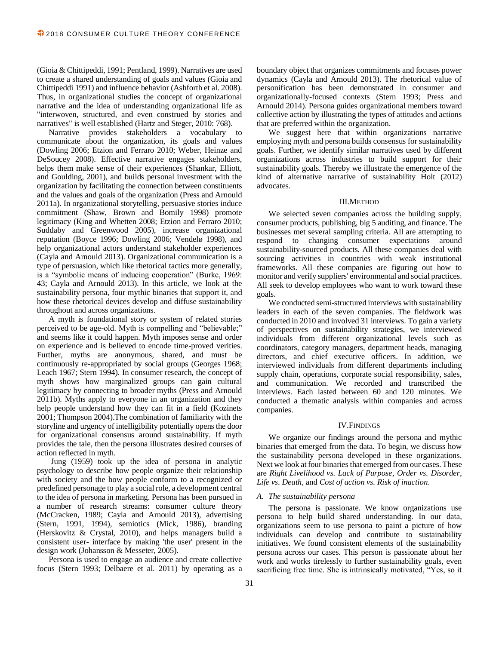(Gioia & Chittipeddi, 1991; Pentland, 1999). Narratives are used to create a shared understanding of goals and values (Gioia and Chittipeddi 1991) and influence behavior (Ashforth et al. 2008). Thus, in organizational studies the concept of organizational narrative and the idea of understanding organizational life as "interwoven, structured, and even construed by stories and narratives" is well established (Hartz and Steger, 2010: 768).

Narrative provides stakeholders a vocabulary to communicate about the organization, its goals and values (Dowling 2006; Etzion and Ferraro 2010; Weber, Heinze and DeSoucey 2008). Effective narrative engages stakeholders, helps them make sense of their experiences (Shankar, Elliott, and Goulding, 2001), and builds personal investment with the organization by facilitating the connection between constituents and the values and goals of the organization (Press and Arnould 2011a). In organizational storytelling, persuasive stories induce commitment (Shaw, Brown and Bomily 1998) promote legitimacy (King and Whetten 2008; Etzion and Ferraro 2010; Suddaby and Greenwood 2005), increase organizational reputation (Boyce 1996; Dowling 2006; Vendelø 1998), and help organizational actors understand stakeholder experiences (Cayla and Arnould 2013). Organizational communication is a type of persuasion, which like rhetorical tactics more generally, is a "symbolic means of inducing cooperation" (Burke, 1969: 43; Cayla and Arnould 2013). In this article, we look at the sustainability persona, four mythic binaries that support it, and how these rhetorical devices develop and diffuse sustainability throughout and across organizations.

A myth is foundational story or system of related stories perceived to be age-old. Myth is compelling and "believable;" and seems like it could happen. Myth imposes sense and order on experience and is believed to encode time-proved verities. Further, myths are anonymous, shared, and must be continuously re-appropriated by social groups (Georges 1968; Leach 1967; Stern 1994). In consumer research, the concept of myth shows how marginalized groups can gain cultural legitimacy by connecting to broader myths (Press and Arnould 2011b). Myths apply to everyone in an organization and they help people understand how they can fit in a field (Kozinets 2001; Thompson 2004).The combination of familiarity with the storyline and urgency of intelligibility potentially opens the door for organizational consensus around sustainability. If myth provides the tale, then the persona illustrates desired courses of action reflected in myth.

Jung (1959) took up the idea of persona in analytic psychology to describe how people organize their relationship with society and the how people conform to a recognized or predefined personage to play a social role, a development central to the idea of persona in marketing. Persona has been pursued in a number of research streams: consumer culture theory (McCracken, 1989; Cayla and Arnould 2013), advertising (Stern, 1991, 1994), semiotics (Mick, 1986), branding (Herskovitz & Crystal, 2010), and helps managers build a consistent user- interface by making 'the user' present in the design work (Johansson & Messeter, 2005).

Persona is used to engage an audience and create collective focus (Stern 1993; Delbaere et al. 2011) by operating as a

boundary object that organizes commitments and focuses power dynamics (Cayla and Arnould 2013). The rhetorical value of personification has been demonstrated in consumer and organizationally-focused contexts (Stern 1993; Press and Arnould 2014). Persona guides organizational members toward collective action by illustrating the types of attitudes and actions that are preferred within the organization.

We suggest here that within organizations narrative employing myth and persona builds consensus for sustainability goals. Further, we identify similar narratives used by different organizations across industries to build support for their sustainability goals. Thereby we illustrate the emergence of the kind of alternative narrative of sustainability Holt (2012) advocates.

#### III.METHOD

We selected seven companies across the building supply, consumer products, publishing, big 5 auditing, and finance. The businesses met several sampling criteria. All are attempting to respond to changing consumer expectations around sustainability-sourced products. All these companies deal with sourcing activities in countries with weak institutional frameworks. All these companies are figuring out how to monitor and verify suppliers' environmental and social practices. All seek to develop employees who want to work toward these goals.

We conducted semi-structured interviews with sustainability leaders in each of the seven companies. The fieldwork was conducted in 2010 and involved 31 interviews. To gain a variety of perspectives on sustainability strategies, we interviewed individuals from different organizational levels such as coordinators, category managers, department heads, managing directors, and chief executive officers. In addition, we interviewed individuals from different departments including supply chain, operations, corporate social responsibility, sales, and communication. We recorded and transcribed the interviews. Each lasted between 60 and 120 minutes. We conducted a thematic analysis within companies and across companies.

#### IV.FINDINGS

We organize our findings around the persona and mythic binaries that emerged from the data. To begin, we discuss how the sustainability persona developed in these organizations. Next we look at four binaries that emerged from our cases. These are *Right Livelihood vs. Lack of Purpose*, *Order vs. Disorder, Life vs. Death*, and *Cost of action vs. Risk of inaction*.

#### *A. The sustainability persona*

The persona is passionate. We know organizations use persona to help build shared understanding. In our data, organizations seem to use persona to paint a picture of how individuals can develop and contribute to sustainability initiatives. We found consistent elements of the sustainability persona across our cases. This person is passionate about her work and works tirelessly to further sustainability goals, even sacrificing free time. She is intrinsically motivated, "Yes, so it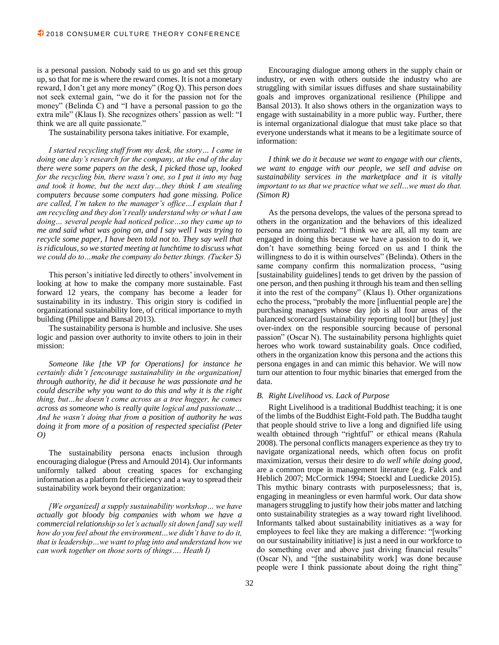is a personal passion. Nobody said to us go and set this group up, so that for me is where the reward comes. It is not a monetary reward, I don't get any more money" (Rog Q). This person does not seek external gain, "we do it for the passion not for the money" (Belinda  $\ddot{C}$ ) and "I have a personal passion to go the extra mile" (Klaus I). She recognizes others' passion as well: "I think we are all quite passionate."

The sustainability persona takes initiative. For example,

*I started recycling stuff from my desk, the story… I came in doing one day's research for the company, at the end of the day there were some papers on the desk, I picked those up, looked for the recycling bin, there wasn't one, so I put it into my bag and took it home, but the next day…they think I am stealing computers because some computers had gone missing. Police are called, I'm taken to the manager's office…I explain that I am recycling and they don't really understand why or what I am doing… several people had noticed police…so they came up to me and said what was going on, and I say well I was trying to recycle some paper, I have been told not to. They say well that is ridiculous, so we started meeting at lunchtime to discuss what we could do to…make the company do better things. (Tucker S)*

This person's initiative led directly to others' involvement in looking at how to make the company more sustainable. Fast forward 12 years, the company has become a leader for sustainability in its industry. This origin story is codified in organizational sustainability lore, of critical importance to myth building (Philippe and Bansal 2013).

The sustainability persona is humble and inclusive. She uses logic and passion over authority to invite others to join in their mission:

*Someone like [the VP for Operations] for instance he certainly didn't [encourage sustainability in the organization] through authority, he did it because he was passionate and he could describe why you want to do this and why it is the right thing, but…he doesn't come across as a tree hugger, he comes across as someone who is really quite logical and passionate… And he wasn't doing that from a position of authority he was doing it from more of a position of respected specialist (Peter O)*

The sustainability persona enacts inclusion through encouraging dialogue (Press and Arnould 2014). Our informants uniformly talked about creating spaces for exchanging information as a platform for efficiency and a way to spread their sustainability work beyond their organization:

*[We organized] a supply sustainability workshop… we have actually got bloody big companies with whom we have a commercial relationship so let's actually sit down [and] say well how do you feel about the environment…we didn't have to do it, that is leadership…we want to plug into and understand how we can work together on those sorts of things…. Heath I)*

Encouraging dialogue among others in the supply chain or industry, or even with others outside the industry who are struggling with similar issues diffuses and share sustainability goals and improves organizational resilience (Philippe and Bansal 2013). It also shows others in the organization ways to engage with sustainability in a more public way. Further, there is internal organizational dialogue that must take place so that everyone understands what it means to be a legitimate source of information:

*I think we do it because we want to engage with our clients, we want to engage with our people, we sell and advise on sustainability services in the marketplace and it is vitally important to us that we practice what we sell…we must do that. (Simon R)*

As the persona develops, the values of the persona spread to others in the organization and the behaviors of this idealized persona are normalized: "I think we are all, all my team are engaged in doing this because we have a passion to do it, we don't have something being forced on us and I think the willingness to do it is within ourselves" (Belinda). Others in the same company confirm this normalization process, "using [sustainability guidelines] tends to get driven by the passion of one person, and then pushing it through his team and then selling it into the rest of the company" (Klaus I). Other organizations echo the process, "probably the more [influential people are] the purchasing managers whose day job is all four areas of the balanced scorecard [sustainability reporting tool] but [they] just over-index on the responsible sourcing because of personal passion" (Oscar N). The sustainability persona highlights quiet heroes who work toward sustainability goals. Once codified, others in the organization know this persona and the actions this persona engages in and can mimic this behavior. We will now turn our attention to four mythic binaries that emerged from the data.

#### *B. Right Livelihood vs. Lack of Purpose*

Right Livelihood is a traditional Buddhist teaching; it is one of the limbs of the Buddhist Eight-Fold path. The Buddha taught that people should strive to live a long and dignified life using wealth obtained through "rightful" or ethical means (Rahula 2008). The personal conflicts managers experience as they try to navigate organizational needs, which often focus on profit maximization, versus their desire to *do well while doing good*, are a common trope in management literature (e.g. Falck and Heblich 2007; McCormick 1994; Stoeckl and Luedicke 2015). This mythic binary contrasts with purposelessness; that is, engaging in meaningless or even harmful work. Our data show managers struggling to justify how their jobs matter and latching onto sustainability strategies as a way toward right livelihood. Informants talked about sustainability initiatives as a way for employees to feel like they are making a difference: "[working on our sustainability initiative] is just a need in our workforce to do something over and above just driving financial results" (Oscar N), and "[the sustainability work] was done because people were I think passionate about doing the right thing"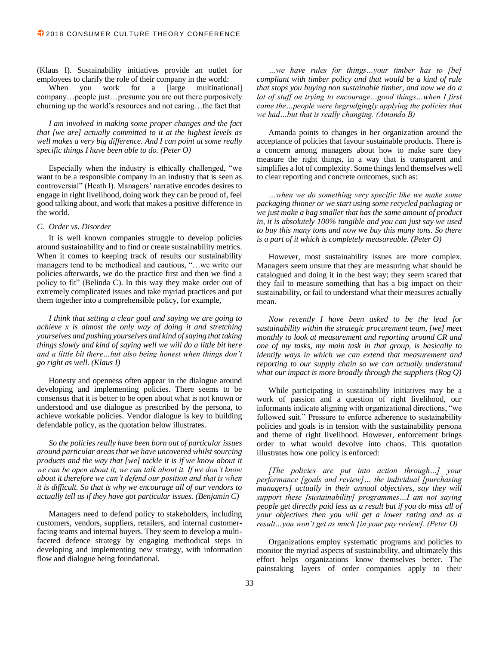(Klaus I). Sustainability initiatives provide an outlet for employees to clarify the role of their company in the world:

When you work for a [large multinational] company…people just…presume you are out there purposively churning up the world's resources and not caring…the fact that

*I am involved in making some proper changes and the fact that [we are] actually committed to it at the highest levels as well makes a very big difference. And I can point at some really specific things I have been able to do. (Peter O)*

Especially when the industry is ethically challenged, "we want to be a responsible company in an industry that is seen as controversial" (Heath I). Managers' narrative encodes desires to engage in right livelihood, doing work they can be proud of, feel good talking about, and work that makes a positive difference in the world.

#### *C. Order vs. Disorder*

It is well known companies struggle to develop policies around sustainability and to find or create sustainability metrics. When it comes to keeping track of results our sustainability managers tend to be methodical and cautious, "…we write our policies afterwards, we do the practice first and then we find a policy to fit" (Belinda C). In this way they make order out of extremely complicated issues and take myriad practices and put them together into a comprehensible policy, for example,

*I think that setting a clear goal and saying we are going to achieve x is almost the only way of doing it and stretching yourselves and pushing yourselves and kind of saying that taking things slowly and kind of saying well we will do a little bit here and a little bit there…but also being honest when things don't go right as well. (Klaus I)*

Honesty and openness often appear in the dialogue around developing and implementing policies. There seems to be consensus that it is better to be open about what is not known or understood and use dialogue as prescribed by the persona, to achieve workable policies. Vendor dialogue is key to building defendable policy, as the quotation below illustrates.

*So the policies really have been born out of particular issues around particular areas that we have uncovered whilst sourcing products and the way that [we] tackle it is if we know about it we can be open about it, we can talk about it. If we don't know about it therefore we can't defend our position and that is when it is difficult. So that is why we encourage all of our vendors to actually tell us if they have got particular issues. (Benjamin C)*

Managers need to defend policy to stakeholders, including customers, vendors, suppliers, retailers, and internal customerfacing teams and internal buyers. They seem to develop a multifaceted defence strategy by engaging methodical steps in developing and implementing new strategy, with information flow and dialogue being foundational.

*…we have rules for things…your timber has to [be] compliant with timber policy and that would be a kind of rule that stops you buying non sustainable timber, and now we do a lot of stuff on trying to encourage…good things…when I first came the…people were begrudgingly applying the policies that we had…but that is really changing. (Amanda B)*

Amanda points to changes in her organization around the acceptance of policies that favour sustainable products. There is a concern among managers about how to make sure they measure the right things, in a way that is transparent and simplifies a lot of complexity. Some things lend themselves well to clear reporting and concrete outcomes, such as:

*…when we do something very specific like we make some packaging thinner or we start using some recycled packaging or we just make a bag smaller that has the same amount of product in, it is absolutely 100% tangible and you can just say we used to buy this many tons and now we buy this many tons. So there is a part of it which is completely measureable. (Peter O)*

However, most sustainability issues are more complex. Managers seem unsure that they are measuring what should be catalogued and doing it in the best way; they seem scared that they fail to measure something that has a big impact on their sustainability, or fail to understand what their measures actually mean.

*Now recently I have been asked to be the lead for sustainability within the strategic procurement team, [we] meet monthly to look at measurement and reporting around CR and one of my tasks, my main task in that group, is basically to identify ways in which we can extend that measurement and reporting to our supply chain so we can actually understand what our impact is more broadly through the suppliers (Rog Q)*

While participating in sustainability initiatives may be a work of passion and a question of right livelihood, our informants indicate aligning with organizational directions, "we followed suit." Pressure to enforce adherence to sustainability policies and goals is in tension with the sustainability persona and theme of right livelihood. However, enforcement brings order to what would devolve into chaos. This quotation illustrates how one policy is enforced:

*[The policies are put into action through…] your performance [goals and review]… the individual [purchasing managers] actually in their annual objectives, say they will support these [sustainability] programmes…I am not saying people get directly paid less as a result but if you do miss all of your objectives then you will get a lower rating and as a result…you won't get as much [in your pay review]. (Peter O)*

Organizations employ systematic programs and policies to monitor the myriad aspects of sustainability, and ultimately this effort helps organizations know themselves better. The painstaking layers of order companies apply to their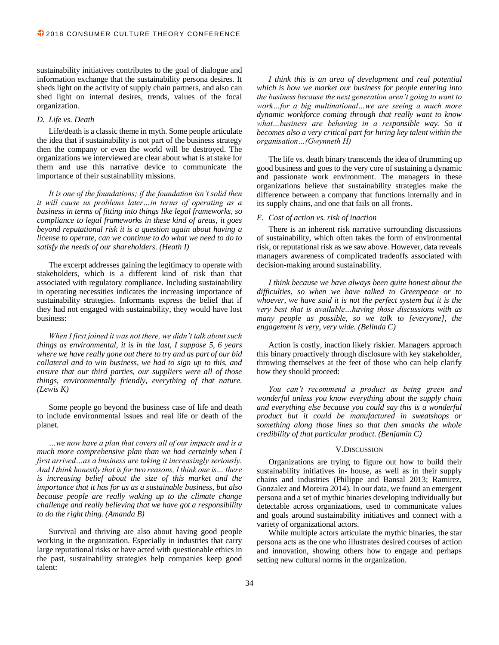sustainability initiatives contributes to the goal of dialogue and information exchange that the sustainability persona desires. It sheds light on the activity of supply chain partners, and also can shed light on internal desires, trends, values of the focal organization.

#### *D. Life vs. Death*

Life/death is a classic theme in myth. Some people articulate the idea that if sustainability is not part of the business strategy then the company or even the world will be destroyed. The organizations we interviewed are clear about what is at stake for them and use this narrative device to communicate the importance of their sustainability missions.

*It is one of the foundations; if the foundation isn't solid then it will cause us problems later…in terms of operating as a business in terms of fitting into things like legal frameworks, so compliance to legal frameworks in these kind of areas, it goes beyond reputational risk it is a question again about having a license to operate, can we continue to do what we need to do to satisfy the needs of our shareholders. (Heath I)*

The excerpt addresses gaining the legitimacy to operate with stakeholders, which is a different kind of risk than that associated with regulatory compliance. Including sustainability in operating necessities indicates the increasing importance of sustainability strategies. Informants express the belief that if they had not engaged with sustainability, they would have lost business:

*When I first joined it was not there, we didn't talk about such things as environmental, it is in the last, I suppose 5, 6 years where we have really gone out there to try and as part of our bid collateral and to win business, we had to sign up to this, and ensure that our third parties, our suppliers were all of those things, environmentally friendly, everything of that nature. (Lewis K)*

Some people go beyond the business case of life and death to include environmental issues and real life or death of the planet.

*…we now have a plan that covers all of our impacts and is a much more comprehensive plan than we had certainly when I first arrived…as a business are taking it increasingly seriously. And I think honestly that is for two reasons, I think one is… there is increasing belief about the size of this market and the importance that it has for us as a sustainable business, but also because people are really waking up to the climate change challenge and really believing that we have got a responsibility to do the right thing. (Amanda B)*

Survival and thriving are also about having good people working in the organization. Especially in industries that carry large reputational risks or have acted with questionable ethics in the past, sustainability strategies help companies keep good talent:

*I think this is an area of development and real potential which is how we market our business for people entering into the business because the next generation aren't going to want to work…for a big multinational…we are seeing a much more dynamic workforce coming through that really want to know what…business are behaving in a responsible way. So it becomes also a very critical part for hiring key talent within the organisation…(Gwynneth H)*

The life vs. death binary transcends the idea of drumming up good business and goes to the very core of sustaining a dynamic and passionate work environment. The managers in these organizations believe that sustainability strategies make the difference between a company that functions internally and in its supply chains, and one that fails on all fronts.

#### *E. Cost of action vs. risk of inaction*

There is an inherent risk narrative surrounding discussions of sustainability, which often takes the form of environmental risk, or reputational risk as we saw above. However, data reveals managers awareness of complicated tradeoffs associated with decision-making around sustainability.

*I think because we have always been quite honest about the difficulties, so when we have talked to Greenpeace or to whoever, we have said it is not the perfect system but it is the very best that is available…having those discussions with as many people as possible, so we talk to [everyone], the engagement is very, very wide. (Belinda C)*

Action is costly, inaction likely riskier. Managers approach this binary proactively through disclosure with key stakeholder, throwing themselves at the feet of those who can help clarify how they should proceed:

*You can't recommend a product as being green and wonderful unless you know everything about the supply chain and everything else because you could say this is a wonderful product but it could be manufactured in sweatshops or something along those lines so that then smacks the whole credibility of that particular product. (Benjamin C)*

#### V.DISCUSSION

Organizations are trying to figure out how to build their sustainability initiatives in- house, as well as in their supply chains and industries (Philippe and Bansal 2013; Ramirez, Gonzalez and Moreira 2014). In our data, we found an emergent persona and a set of mythic binaries developing individually but detectable across organizations, used to communicate values and goals around sustainability initiatives and connect with a variety of organizational actors.

While multiple actors articulate the mythic binaries, the star persona acts as the one who illustrates desired courses of action and innovation, showing others how to engage and perhaps setting new cultural norms in the organization.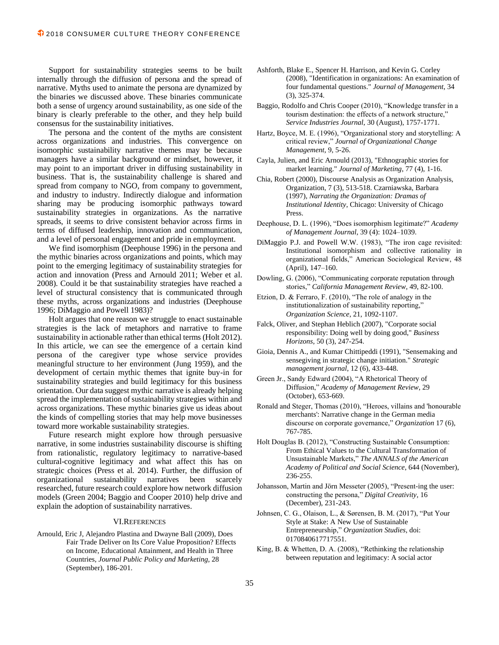Support for sustainability strategies seems to be built internally through the diffusion of persona and the spread of narrative. Myths used to animate the persona are dynamized by the binaries we discussed above. These binaries communicate both a sense of urgency around sustainability, as one side of the binary is clearly preferable to the other, and they help build consensus for the sustainability initiatives.

The persona and the content of the myths are consistent across organizations and industries. This convergence on isomorphic sustainability narrative themes may be because managers have a similar background or mindset, however, it may point to an important driver in diffusing sustainability in business. That is, the sustainability challenge is shared and spread from company to NGO, from company to government, and industry to industry. Indirectly dialogue and information sharing may be producing isomorphic pathways toward sustainability strategies in organizations. As the narrative spreads, it seems to drive consistent behavior across firms in terms of diffused leadership, innovation and communication, and a level of personal engagement and pride in employment.

We find isomorphism (Deephouse 1996) in the persona and the mythic binaries across organizations and points, which may point to the emerging legitimacy of sustainability strategies for action and innovation (Press and Arnould 2011; Weber et al. 2008). Could it be that sustainability strategies have reached a level of structural consistency that is communicated through these myths, across organizations and industries (Deephouse 1996; DiMaggio and Powell 1983)?

Holt argues that one reason we struggle to enact sustainable strategies is the lack of metaphors and narrative to frame sustainability in actionable rather than ethical terms (Holt 2012). In this article, we can see the emergence of a certain kind persona of the caregiver type whose service provides meaningful structure to her environment (Jung 1959), and the development of certain mythic themes that ignite buy-in for sustainability strategies and build legitimacy for this business orientation. Our data suggest mythic narrative is already helping spread the implementation of sustainability strategies within and across organizations. These mythic binaries give us ideas about the kinds of compelling stories that may help move businesses toward more workable sustainability strategies.

Future research might explore how through persuasive narrative, in some industries sustainability discourse is shifting from rationalistic, regulatory legitimacy to narrative-based cultural-cognitive legitimacy and what affect this has on strategic choices (Press et al. 2014). Further, the diffusion of organizational sustainability narratives been scarcely researched, future research could explore how network diffusion models (Green 2004; Baggio and Cooper 2010) help drive and explain the adoption of sustainability narratives.

#### VI.REFERENCES

Arnould, Eric J, Alejandro Plastina and Dwayne Ball (2009), Does Fair Trade Deliver on Its Core Value Proposition? Effects on Income, Educational Attainment, and Health in Three Countries, *Journal Public Policy and Marketing*, 28 (September), 186-201.

- Ashforth, Blake E., Spencer H. Harrison, and Kevin G. Corley (2008), "Identification in organizations: An examination of four fundamental questions." *Journal of Management*, 34 (3), 325-374.
- Baggio, Rodolfo and Chris Cooper (2010), "Knowledge transfer in a tourism destination: the effects of a network structure," *Service Industries Journal*, 30 (August), 1757-1771.
- Hartz, Boyce, M. E. (1996), "Organizational story and storytelling: A critical review," *Journal of Organizational Change Management*, 9, 5-26.
- Cayla, Julien, and Eric Arnould (2013), "Ethnographic stories for market learning." *Journal of Marketing*, 77 (4), 1-16.
- Chia, Robert (2000), Discourse Analysis as Organization Analysis, Organization, 7 (3), 513-518. Czarniawska, Barbara (1997), *Narrating the Organization: Dramas of Institutional Identity*, Chicago: University of Chicago Press.
- Deephouse, D. L. (1996), "Does isomorphism legitimate?" *Academy of Management Journal*, 39 (4): 1024–1039.
- DiMaggio P.J. and Powell W.W. (1983), "The iron cage revisited: Institutional isomorphism and collective rationality in organizational fields," American Sociological Review, 48 (April), 147–160.
- Dowling, G. (2006), "Communicating corporate reputation through stories," *California Management Review*, 49, 82-100.
- Etzion, D. & Ferraro, F. (2010), "The role of analogy in the institutionalization of sustainability reporting," *Organization Science*, 21, 1092-1107.
- Falck, Oliver, and Stephan Heblich (2007), "Corporate social responsibility: Doing well by doing good," *Business Horizons*, 50 (3), 247-254.
- Gioia, Dennis A., and Kumar Chittipeddi (1991), "Sensemaking and sensegiving in strategic change initiation." *Strategic management journal*, 12 (6), 433-448.
- Green Jr., Sandy Edward (2004), "A Rhetorical Theory of Diffusion," *Academy of Management Review*, 29 (October), 653-669.
- Ronald and Steger, Thomas (2010), "Heroes, villains and 'honourable merchants': Narrative change in the German media discourse on corporate governance," *Organization* 17 (6), 767-785.
- Holt Douglas B. (2012), "Constructing Sustainable Consumption: From Ethical Values to the Cultural Transformation of Unsustainable Markets," *The ANNALS of the American Academy of Political and Social Science*, 644 (November), 236-255.
- Johansson, Martin and Jörn Messeter (2005), "Present-ing the user: constructing the persona," *Digital Creativity*, 16 (December), 231-243.
- Johnsen, C. G., Olaison, L., & Sørensen, B. M. (2017), "Put Your Style at Stake: A New Use of Sustainable Entrepreneurship," *Organization Studies*, doi: 0170840617717551.
- King, B. & Whetten, D. A. (2008), "Rethinking the relationship between reputation and legitimacy: A social actor